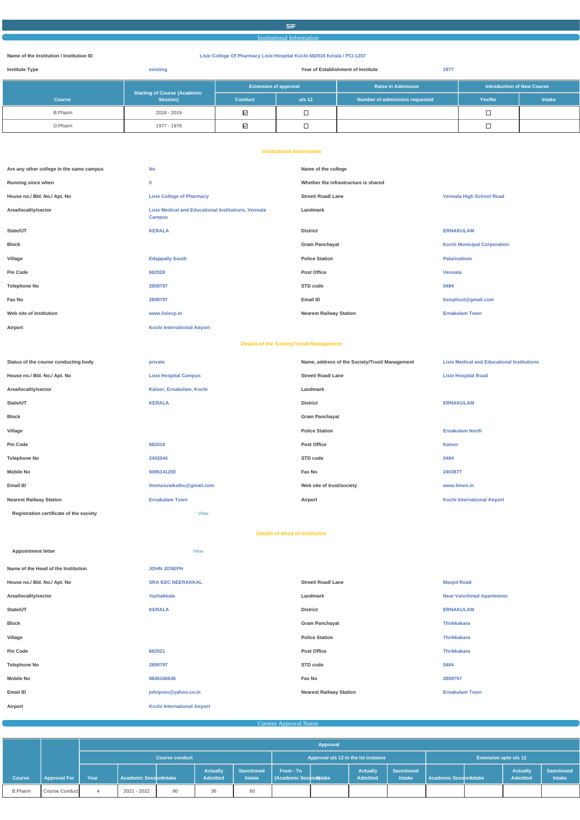#### **SIF**

Institutional Information

#### **Name of the Institution / Institution ID Lisie College Of Pharmacy Lisie Hospital Kochi 682018 Kerala / PCI-1207**

| <b>Institute Type</b><br>existing |                                                 | 1977<br>Year of Establishment of Institute |          |                                |                                   |               |  |  |
|-----------------------------------|-------------------------------------------------|--------------------------------------------|----------|--------------------------------|-----------------------------------|---------------|--|--|
|                                   |                                                 | <b>Extension of approval</b>               |          | <b>Raise in Admission</b>      | <b>Introduction of New Course</b> |               |  |  |
| <b>Course</b>                     | <b>Starting of Course (Academic</b><br>Session) | <b>Conduct</b>                             | $u/s$ 12 | Number of admissions requested | Yes/No                            | <b>Intake</b> |  |  |
| <b>B.Pharm</b>                    | 2018 - 2019                                     | $\boxtimes$                                |          |                                |                                   |               |  |  |
| D.Pharm                           | 1977 - 1978                                     | $\overline{\vee}$                          | –        |                                | –                                 |               |  |  |

#### **Institutional Information**

| Are any other college in the same campus | <b>No</b>                                                                   | Name of the college                            |                                                   |
|------------------------------------------|-----------------------------------------------------------------------------|------------------------------------------------|---------------------------------------------------|
| Running since when                       | $\mathbf 0$                                                                 | Whether the infrastructure is shared           |                                                   |
| House no./ Bld. No./ Apt. No             | <b>Lisie College of Pharmacy</b>                                            | <b>Street/ Road/ Lane</b>                      | <b>Vennala High School Road</b>                   |
| Area/locality/sector                     | <b>Lisie Medical and Educational Institutions, Vennala</b><br><b>Campus</b> | Landmark                                       |                                                   |
| State/UT                                 | <b>KERALA</b>                                                               | <b>District</b>                                | <b>ERNAKULAM</b>                                  |
| <b>Block</b>                             |                                                                             | <b>Gram Panchayat</b>                          | <b>Kochi Municipal Corporation</b>                |
| Village                                  | <b>Edappally South</b>                                                      | <b>Police Station</b>                          | <b>Palarivattom</b>                               |
| <b>Pin Code</b>                          | 682028                                                                      | Post Office                                    | Vennala                                           |
| <b>Telephone No</b>                      | 2808797                                                                     | STD code                                       | 0484                                              |
| Fax No                                   | 2808797                                                                     | Email ID                                       | lisiephcol@gmail.com                              |
| Web site of institution                  | www.lisiecp.in                                                              | <b>Nearest Railway Station</b>                 | <b>Ernakulam Town</b>                             |
| Airport                                  | <b>Kochi International Airport</b>                                          |                                                |                                                   |
|                                          | <b>Details of the Society/Trust/ Management</b>                             |                                                |                                                   |
| Status of the course conducting body     | private                                                                     | Name, address of the Society/Trust/ Management | <b>Lisie Medical and Educational Institutions</b> |
| House no./ Bld. No./ Apt. No             | <b>Lisie Hospital Campus</b>                                                | <b>Street/ Road/ Lane</b>                      | <b>Lisie Hospital Road</b>                        |
| Area/locality/sector                     | Kaloor, Ernakulam, Kochi                                                    | Landmark                                       |                                                   |
| State/UT                                 | <b>KERALA</b>                                                               | <b>District</b>                                | <b>ERNAKULAM</b>                                  |
| <b>Block</b>                             |                                                                             | <b>Gram Panchayat</b>                          |                                                   |
| Village                                  |                                                                             | <b>Police Station</b>                          | <b>Ernakulam North</b>                            |
| Pin Code                                 | 682018                                                                      | Post Office                                    | <b>Kaloor</b>                                     |
| <b>Telephone No</b>                      | 2402044                                                                     | STD code                                       | 0484                                              |
| <b>Mobile No</b>                         | 9496141200                                                                  | Fax No                                         | 2403877                                           |
| Email ID                                 | thomasvaikathu@gmail.com                                                    | Web site of trust/society                      | www.limen.in                                      |
| <b>Nearest Railway Station</b>           | <b>Ernakulam Town</b>                                                       | Airport                                        | <b>Kochi International Airport</b>                |
| Registration certificate of the society  | <b>View</b>                                                                 |                                                |                                                   |
|                                          | <b>Details of Head of Institution</b>                                       |                                                |                                                   |
| <b>Appointment letter</b>                | <b>View</b>                                                                 |                                                |                                                   |
|                                          |                                                                             |                                                |                                                   |
| Name of the Head of the Institution      | <b>JOHN JOSEPH</b>                                                          |                                                |                                                   |
| House no./ Bld. No./ Apt. No             | <b>SRA 83/C NEERAKKAL</b>                                                   | <b>Street/ Road/ Lane</b>                      | <b>Masjid Road</b>                                |
| Area/locality/sector                     | Vazhakkala                                                                  | Landmark                                       | <b>Near Vanchinad Apartments</b>                  |
| State/UT                                 | <b>KERALA</b>                                                               | <b>District</b>                                | <b>ERNAKULAM</b>                                  |

| <b>Block</b>        |                                    | <b>Gram Panchayat</b>          | <b>Thrikkakara</b>    |
|---------------------|------------------------------------|--------------------------------|-----------------------|
| Village             |                                    | <b>Police Station</b>          | <b>Thrikkakara</b>    |
| <b>Pin Code</b>     | 682021                             | <b>Post Office</b>             | <b>Thrikkakara</b>    |
| <b>Telephone No</b> | 2808797                            | STD code                       | 0484                  |
| <b>Mobile No</b>    | 9846168636                         | Fax No                         | 2808797               |
| Email ID            | johnjosn@yahoo.co.in               | <b>Nearest Railway Station</b> | <b>Ernakulam Town</b> |
| Airport             | <b>Kochi International Airport</b> |                                |                       |

### **Current Approval Status**

|                |                     |                       |                        |    |                                     |                                    | Approval                           |                              |                             |                                    |                        |  |                             |                             |
|----------------|---------------------|-----------------------|------------------------|----|-------------------------------------|------------------------------------|------------------------------------|------------------------------|-----------------------------|------------------------------------|------------------------|--|-----------------------------|-----------------------------|
|                |                     | <b>Course conduct</b> |                        |    | Approval u/s 12 in the lst instance |                                    |                                    | <b>Extension upto u/s 12</b> |                             |                                    |                        |  |                             |                             |
| Course         | <b>Approval For</b> | Year                  | Academic SessionIntake |    | <b>Actually</b><br>Admitted         | <b>Sanctioned</b><br><b>Intake</b> | From - To<br>Academic Sessiomitake |                              | <b>Actually</b><br>Admitted | <b>Sanctioned</b><br><b>Intake</b> | Academic SessionIntake |  | <b>Actually</b><br>Admitted | <b>Sanctioned</b><br>Intake |
| <b>B.Pharm</b> | Course Conduct      |                       | 2021 - 2022            | 60 | 36                                  | 60                                 |                                    |                              |                             |                                    |                        |  |                             |                             |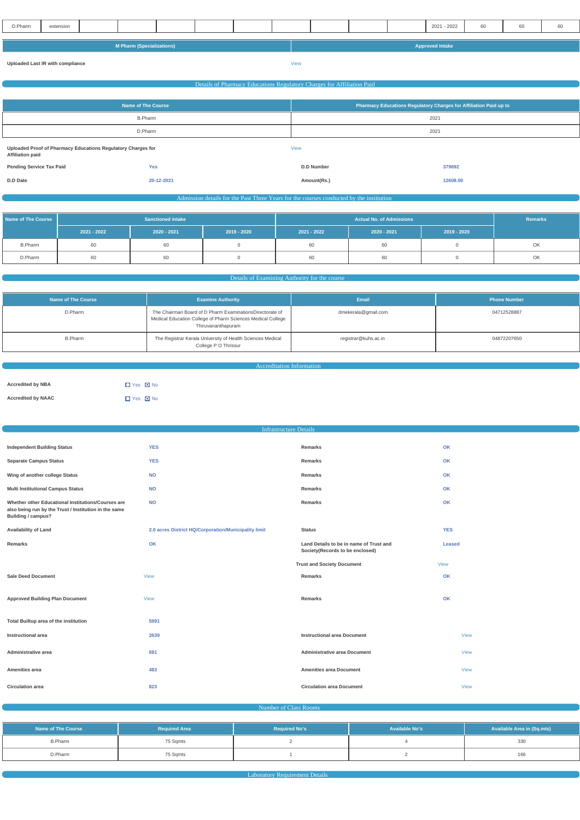| D.Pharm                          | extension |  |  |  |                        |  |      |  |  |  | 2021 - 2022 | 60 | 60 | 60 |
|----------------------------------|-----------|--|--|--|------------------------|--|------|--|--|--|-------------|----|----|----|
|                                  |           |  |  |  |                        |  |      |  |  |  |             |    |    |    |
|                                  |           |  |  |  |                        |  |      |  |  |  |             |    |    |    |
| <b>M Pharm (Specializations)</b> |           |  |  |  | <b>Approved Intake</b> |  |      |  |  |  |             |    |    |    |
|                                  |           |  |  |  |                        |  |      |  |  |  |             |    |    |    |
| Uploaded Last IR with compliance |           |  |  |  |                        |  | View |  |  |  |             |    |    |    |

|                                                                                         | Details of Pharmacy Educations Regulatory Charges for Affiliation Paid |                                                                   |          |  |  |  |  |
|-----------------------------------------------------------------------------------------|------------------------------------------------------------------------|-------------------------------------------------------------------|----------|--|--|--|--|
|                                                                                         |                                                                        |                                                                   |          |  |  |  |  |
|                                                                                         | <b>Name of The Course</b>                                              | Pharmacy Educations Regulatory Charges for Affiliation Paid up to |          |  |  |  |  |
|                                                                                         | <b>B.Pharm</b>                                                         | 2021                                                              |          |  |  |  |  |
|                                                                                         | D.Pharm                                                                | 2021                                                              |          |  |  |  |  |
| Uploaded Proof of Pharmacy Educations Regulatory Charges for<br><b>Affiliation paid</b> |                                                                        | <b>View</b>                                                       |          |  |  |  |  |
| <b>Pending Service Tax Paid</b>                                                         | <b>Yes</b>                                                             | <b>D.D Number</b>                                                 | 379692   |  |  |  |  |
| D.D Date                                                                                | 20-12-2021                                                             | Amount(Rs.)                                                       | 12608.00 |  |  |  |  |

Admission details for the Past Three Years for the courses conducted by the institution

| Name of The Course | <b>Sanctioned intake</b> |             |             |             | Remarks     |             |    |
|--------------------|--------------------------|-------------|-------------|-------------|-------------|-------------|----|
|                    | $2021 - 2022$            | 2020 - 2021 | 2019 - 2020 | 2021 - 2022 | 2020 - 2021 | 2019 - 2020 |    |
| <b>B.Pharm</b>     | 60                       | 60          |             | 60          | 60          |             | OK |
| D.Pharm            | 60                       | 60          |             | 60          | 60          |             | OK |

## Details of Examining Authority for the course

| Name of The Course | <b>Examine Authority</b>                                                                                                                      | Email                | <b>Phone Number</b> |
|--------------------|-----------------------------------------------------------------------------------------------------------------------------------------------|----------------------|---------------------|
| D.Pharm            | The Chairman Board of D Pharm ExaminationsDirectorate of<br>Medical Education College of Pharm Sciences Medical College<br>Thiruvananthapuram | dmekerala@gmail.com  | 04712528887         |
| <b>B.Pharm</b>     | The Registrar Kerala University of Health Sciences Medical<br>College P O Thrissur                                                            | registrar@kuhs.ac.in | 04872207650         |

Accreditation Information

| <b>Accredited by NBA</b>  | $\Box$ Yes $\Box$ No |
|---------------------------|----------------------|
| <b>Accredited by NAAC</b> | $\Box$ Yes $\Box$ No |

|                                                                                                                                   | <b>Infrastructure Details</b>                        |                                                                            |               |
|-----------------------------------------------------------------------------------------------------------------------------------|------------------------------------------------------|----------------------------------------------------------------------------|---------------|
|                                                                                                                                   |                                                      |                                                                            |               |
| <b>Independent Building Status</b>                                                                                                | <b>YES</b>                                           | Remarks                                                                    | OK            |
| <b>Separate Campus Status</b>                                                                                                     | <b>YES</b>                                           | Remarks                                                                    | OK            |
| Wing of another college Status                                                                                                    | <b>NO</b>                                            | Remarks                                                                    | OK            |
| <b>Multi Institutional Campus Status</b>                                                                                          | <b>NO</b>                                            | Remarks                                                                    | OK            |
| Whether other Educational Institutions/Courses are<br>also being run by the Trust / Institution in the same<br>Building / campus? | <b>NO</b>                                            | Remarks                                                                    | OK            |
| <b>Availability of Land</b>                                                                                                       | 2.0 acres District HQ/Corporation/Municipality limit | <b>Status</b>                                                              | <b>YES</b>    |
| Remarks                                                                                                                           | OK                                                   | Land Details to be in name of Trust and<br>Society(Records to be enclosed) | <b>Leased</b> |
|                                                                                                                                   |                                                      | <b>Trust and Society Document</b>                                          | View          |
| <b>Sale Deed Document</b>                                                                                                         | <b>View</b>                                          | Remarks                                                                    | OK            |
|                                                                                                                                   |                                                      |                                                                            |               |
| <b>Approved Building Plan Document</b>                                                                                            | <b>View</b>                                          | Remarks                                                                    | OK            |

| Total Builtup area of the institution | 5991 |                                     |             |
|---------------------------------------|------|-------------------------------------|-------------|
| Instructional area                    | 2639 | <b>Instructional area Document</b>  | <b>View</b> |
| Administrative area                   | 691  | <b>Administrative area Document</b> | <b>View</b> |
| Amenities area                        | 483  | <b>Amenities area Document</b>      | <b>View</b> |
| <b>Circulation area</b>               | 823  | <b>Circulation area Document</b>    | <b>View</b> |

Number of Class Rooms

| Name of The Course | <b>Required Area</b> | <b>Required No's</b> | <b>Available No's</b> | <b>Available Area in (Sq.mts)</b> |
|--------------------|----------------------|----------------------|-----------------------|-----------------------------------|
| <b>B.Pharm</b>     | 75 Sqmts             |                      |                       | 330                               |
| D.Pharm            | 75 Sqmts             |                      |                       | 166                               |

**Laboratory Requirement Details Laboratory Requirement Details Laboratory Requirement Details**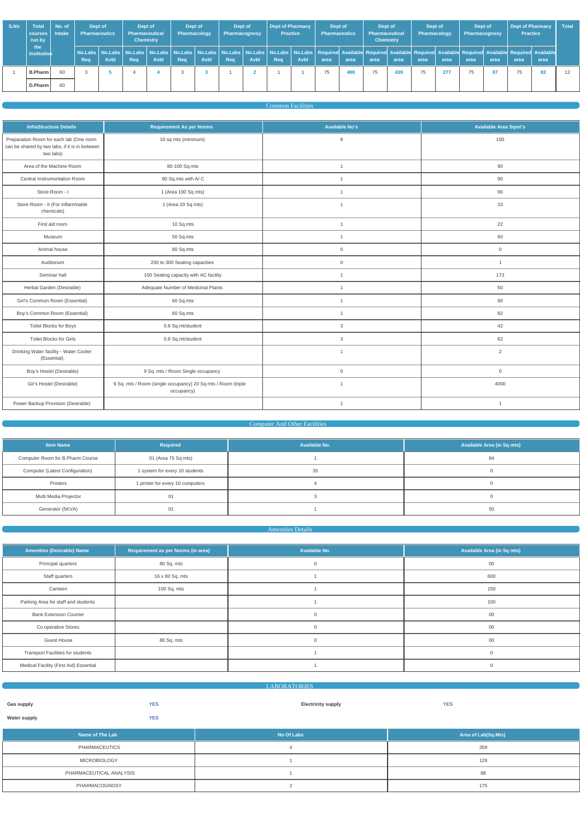| S.No | Total<br>courses   Intake<br>run by | No. of | Dept of<br><b>Pharmaceutics</b> |      | Dept of<br><b>Pharmaceutical</b><br><b>Chemistry</b> |              | Dept of<br>Pharmacology |      | Dept of<br>Pharmacognosy |      | Dept of Pharmacy<br><b>Practice</b> |             | Dept of<br><b>Pharmaceutics</b>                                                                                                                                                                                                        |      | Dept of<br><b>Pharmaceutical</b><br><b>Chemistry</b> |      | Dept of<br>Pharmacology |      | Dept of<br>Pharmacognosy |      | <b>Dept of Pharmacy</b><br><b>Practice</b> |      | <b>Total</b> |
|------|-------------------------------------|--------|---------------------------------|------|------------------------------------------------------|--------------|-------------------------|------|--------------------------|------|-------------------------------------|-------------|----------------------------------------------------------------------------------------------------------------------------------------------------------------------------------------------------------------------------------------|------|------------------------------------------------------|------|-------------------------|------|--------------------------|------|--------------------------------------------|------|--------------|
|      | the<br>Institution                  |        | Req                             | Avbl | Rea                                                  | <b>Avbl.</b> | Req                     | Avbl | Rea                      | Avbl | Req                                 | <b>Avbl</b> | No.Labs   No.Labs   No.Labs   No.Labs   No.Labs   No.Labs   No.Labs   No.Labs   No.Labs   No.Labs   No.Labs   Required Available Required Available Required Available Required Available Required Available Required Availabl<br>area | area | area                                                 | area | area                    | area | area                     | area | area                                       | area |              |
|      | B.Pharm                             | 60     | - 3                             |      |                                                      |              |                         |      |                          |      |                                     |             | 75                                                                                                                                                                                                                                     | 488  | 75                                                   | 439  | 75                      | 277  | 75                       | 87   | 75                                         | 82   | 12           |
|      | D.Pharm                             | 60     |                                 |      |                                                      |              |                         |      |                          |      |                                     |             |                                                                                                                                                                                                                                        |      |                                                      |      |                         |      |                          |      |                                            |      |              |

### Common Facilities

| <b>InfraStructure Details</b>                                                                          | <b>Requirement As per Norms</b>                                            | <b>Available No's</b> | <b>Available Area Sqmt's</b> |
|--------------------------------------------------------------------------------------------------------|----------------------------------------------------------------------------|-----------------------|------------------------------|
| Preparation Room for each lab (One room<br>can be shared by two labs, if it is in between<br>two labs) | 10 sq mts (minimum)                                                        | 8                     | 100                          |
| Area of the Machine Room                                                                               | 80-100 Sq.mts                                                              | $\mathbf{1}$          | 90                           |
| Central Instrumentation Room                                                                           | 80 Sq.mts with A/C                                                         | $\mathbf{1}$          | 90                           |
| Store Room - I                                                                                         | 1 (Area 100 Sq mts)                                                        | $\mathbf{1}$          | 90                           |
| Store Room - II (For Inflammable<br>chemicals)                                                         | 1 (Area 20 Sq mts)                                                         | $\mathbf{1}$          | 33                           |
| First aid room                                                                                         | 10 Sq.mts                                                                  | $\mathbf{1}$          | 22                           |
| Museum                                                                                                 | 50 Sq.mts                                                                  | $\mathbf{1}$          | 60                           |
| Animal house                                                                                           | 80 Sq.mts                                                                  | $\mathbf 0$           | $\overline{0}$               |
| Auditorium                                                                                             | 250 to 300 Seating capacities                                              | $\mathsf{O}\xspace$   | $\overline{1}$               |
| Seminar hall                                                                                           | 100 Seating capacity with AC facility                                      | $\mathbf{1}$          | 173                          |
| Herbal Garden (Desirable)                                                                              | Adequate Number of Medicinal Plants                                        | $\mathbf{1}$          | 50                           |
| Girl's Common Room (Essential)                                                                         | 60 Sq.mts                                                                  | $\mathbf{1}$          | 90                           |
| Boy's Common Room (Essential)                                                                          | 60 Sq.mts                                                                  | $\mathbf{1}$          | 82                           |
| Toilet Blocks for Boys                                                                                 | 0.8 Sq.mt/student                                                          | 3                     | 42                           |
| <b>Toilet Blocks for Girls</b>                                                                         | 0.8 Sq.mt/student                                                          | 3                     | 62                           |
| Drinking Water facility - Water Cooler<br>(Essential).                                                 |                                                                            | $\mathbf{1}$          | $\overline{2}$               |
| Boy's Hostel (Desirable)                                                                               | 9 Sq .mts / Room Single occupancy                                          | $\mathsf{O}\xspace$   | $\overline{0}$               |
| Gir's Hostel (Desirable)                                                                               | 9 Sq .mts / Room (single occupancy) 20 Sq mts / Room (triple<br>occupancy) | $\mathbf{1}$          | 4000                         |
| Power Backup Provision (Desirable)                                                                     |                                                                            | $\mathbf{1}$          | $\overline{1}$               |

## **Computer And Other Facilities**

| <b>Item Name</b>                 | Required                         | Available No. | <b>Available Area (in Sq mts)</b> |
|----------------------------------|----------------------------------|---------------|-----------------------------------|
| Computer Room for B.Pharm Course | 01 (Area 75 Sq mts)              |               | 84                                |
| Computer (Latest Configuration)  | 1 system for every 10 students   | 35            |                                   |
| Printers                         | 1 printer for every 10 computers |               |                                   |
| Multi Media Projector            | 01                               |               |                                   |
| Generator (5KVA)                 | 0 <sub>1</sub>                   |               | 50                                |

#### **Amenities Details**

| <b>Amenities (Desirable) Name</b>        | Requirement as per Norms (in area) | Available No. | Available Area (in Sq mts) |
|------------------------------------------|------------------------------------|---------------|----------------------------|
| Principal quarters                       | 80 Sq. mts                         | $\mathbf 0$   | $00\,$                     |
| Staff quarters                           | 16 x 80 Sq. mts                    |               | 600                        |
| Canteen                                  | 100 Sq. mts                        |               | 150                        |
| Parking Area for staff and students      |                                    |               | 100                        |
| <b>Bank Extension Counter</b>            |                                    | $\Omega$      | $00\,$                     |
| Co operative Stores                      |                                    |               | 00                         |
| <b>Guest House</b>                       | 80 Sq. mts                         | $\Omega$      | $00\,$                     |
| <b>Transport Facilities for students</b> |                                    |               | $\mathbf 0$                |
| Medical Facility (First Aid) Essential   |                                    |               | $\Omega$                   |

|                     |            | <b>LABORATORIES</b>       |            |
|---------------------|------------|---------------------------|------------|
|                     |            |                           |            |
| Gas supply          | <b>YES</b> | <b>Electricity supply</b> | <b>YES</b> |
| <b>Water supply</b> | <b>YES</b> |                           |            |

| Name of The Lab         | No Of Labs | Area of Lab(Sq.Mts) |
|-------------------------|------------|---------------------|
| PHARMACEUTICS           |            | 359                 |
| <b>MICROBIOLOGY</b>     |            | 129                 |
| PHARMACEUTICAL ANALYSIS |            | 88                  |
| PHARMACOGNOSY           |            | 175                 |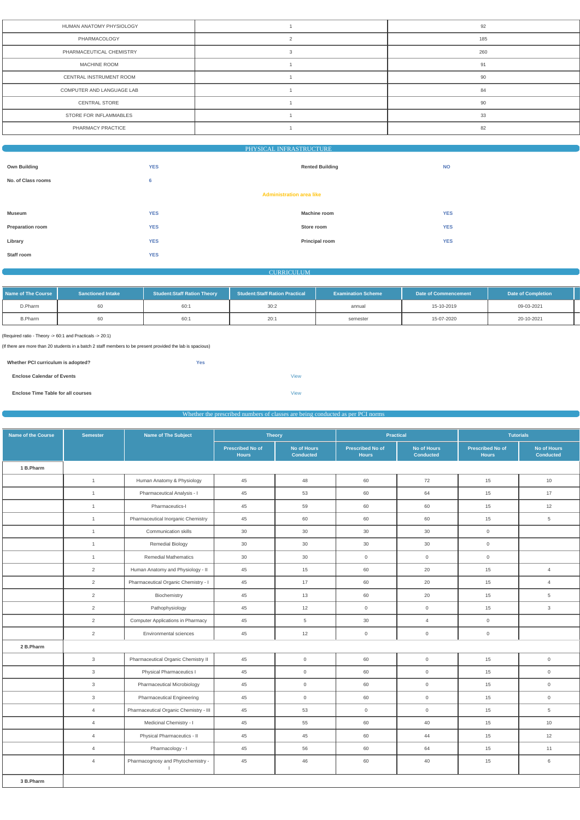| HUMAN ANATOMY PHYSIOLOGY  | 92  |
|---------------------------|-----|
| PHARMACOLOGY              | 185 |
| PHARMACEUTICAL CHEMISTRY  | 260 |
| <b>MACHINE ROOM</b>       | 91  |
| CENTRAL INSTRUMENT ROOM   | 90  |
| COMPUTER AND LANGUAGE LAB | 84  |
| <b>CENTRAL STORE</b>      | 90  |
| STORE FOR INFLAMMABLES    | 33  |
| PHARMACY PRACTICE         | 82  |
|                           |     |

# PHYSICAL INFRASTRUCTURE

| <b>Own Building</b> | <b>YES</b>                      | <b>Rented Building</b> | <b>NO</b>  |
|---------------------|---------------------------------|------------------------|------------|
| No. of Class rooms  | 6                               |                        |            |
|                     | <b>Administration area like</b> |                        |            |
| <b>Museum</b>       | <b>YES</b>                      | <b>Machine room</b>    | <b>YES</b> |
| Preparation room    | <b>YES</b>                      | Store room             | <b>YES</b> |
| Library             | <b>YES</b>                      | Principal room         | <b>YES</b> |
| Staff room          | <b>YES</b>                      |                        |            |

### **CURRICULUM**

| Name of The Course | <b>Sanctioned Intake</b> | <b>Student:Staff Ration Theory</b> | Student: Staff Ration Practical | <b>Examination Scheme</b> | <b>Date of Commencement</b> | <b>Date of Completion</b> |
|--------------------|--------------------------|------------------------------------|---------------------------------|---------------------------|-----------------------------|---------------------------|
| D.Pharm            |                          | 60:1                               | 30:2                            | annual                    | 15-10-2019                  | 09-03-2021                |
| <b>B.Pharm</b>     |                          | 60:1                               | 20:                             | semester                  | 15-07-2020                  | 20-10-2021                |

(Required ratio - Theory -> 60:1 and Practicals -> 20:1)

(If there are more than 20 students in a batch 2 staff members to be present provided the lab is spacious)

| Whether PCI curriculum is adopted?        | Yes |             |
|-------------------------------------------|-----|-------------|
| <b>Enclose Calendar of Events</b>         |     | <b>View</b> |
| <b>Enclose Time Table for all courses</b> |     | <b>View</b> |

### Whether the prescribed numbers of classes are being conducted as per PCI norms

| <b>Name of the Course</b> | <b>Semester</b> | Name of The Subject                                | <b>Theory</b>                           |                                        | <b>Practical</b>                        |                                        |                                         | <b>Tutorials</b>                |
|---------------------------|-----------------|----------------------------------------------------|-----------------------------------------|----------------------------------------|-----------------------------------------|----------------------------------------|-----------------------------------------|---------------------------------|
|                           |                 |                                                    | <b>Prescribed No of</b><br><b>Hours</b> | <b>No of Hours</b><br><b>Conducted</b> | <b>Prescribed No of</b><br><b>Hours</b> | <b>No of Hours</b><br><b>Conducted</b> | <b>Prescribed No of</b><br><b>Hours</b> | No of Hours<br><b>Conducted</b> |
| 1 B.Pharm                 |                 |                                                    |                                         |                                        |                                         |                                        |                                         |                                 |
|                           | $\overline{1}$  | Human Anatomy & Physiology                         | 45                                      | 48                                     | 60                                      | 72                                     | 15                                      | 10                              |
|                           | $\overline{1}$  | Pharmaceutical Analysis - I                        | 45                                      | 53                                     | 60                                      | 64                                     | 15                                      | 17                              |
|                           | $\overline{1}$  | Pharmaceutics-I                                    | 45                                      | 59                                     | 60                                      | 60                                     | 15                                      | 12                              |
|                           | $\overline{1}$  | Pharmaceutical Inorganic Chemistry                 | 45                                      | 60                                     | 60                                      | 60                                     | 15                                      | $\overline{5}$                  |
|                           | $\overline{1}$  | Communication skills                               | 30                                      | 30                                     | 30                                      | 30                                     | $\overline{0}$                          |                                 |
|                           | $\overline{1}$  | Remedial Biology                                   | 30                                      | 30                                     | 30                                      | 30                                     | $\overline{0}$                          |                                 |
|                           | $\overline{1}$  | <b>Remedial Mathematics</b>                        | 30                                      | $30\,$                                 | $\mathsf{O}\xspace$                     | $\mathsf{O}\xspace$                    | $\overline{0}$                          |                                 |
|                           | $\overline{2}$  | Human Anatomy and Physiology - II                  | 45                                      | 15                                     | 60                                      | 20                                     | 15                                      | $\overline{4}$                  |
|                           | $\overline{2}$  | Pharmaceutical Organic Chemistry - I               | 45                                      | 17                                     | 60                                      | 20                                     | 15                                      | $\overline{4}$                  |
|                           | $\overline{2}$  | Biochemistry                                       | 45                                      | 13                                     | 60                                      | 20                                     | 15                                      | $5\phantom{.0}$                 |
|                           | $\overline{2}$  | Pathophysiology                                    | 45                                      | 12                                     | $\mathbf 0$                             | $\mathsf{O}$                           | 15                                      | $\mathbf{3}$                    |
|                           | 2               | <b>Computer Applications in Pharmacy</b>           | 45                                      | $5\overline{)}$                        | 30                                      | $\overline{4}$                         | $\overline{0}$                          |                                 |
|                           | $\overline{2}$  | Environmental sciences                             | 45                                      | 12                                     | $\boldsymbol{0}$                        | $\mathsf{O}\xspace$                    | $\overline{0}$                          |                                 |
| 2 B.Pharm                 |                 |                                                    |                                         |                                        |                                         |                                        |                                         |                                 |
|                           | $\mathbf{3}$    | Pharmaceutical Organic Chemistry II                | 45                                      | $\overline{0}$                         | 60                                      | $\mathsf{O}\xspace$                    | 15                                      | $\mathsf{O}\xspace$             |
|                           | $\mathbf{3}$    | Physical Pharmaceutics I                           | 45                                      | $\overline{0}$                         | 60                                      | $\mathsf{O}$                           | 15                                      | $\overline{0}$                  |
|                           | $\mathbf{3}$    | Pharmaceutical Microbiology                        | 45                                      | $\overline{0}$                         | 60                                      | $\mathsf{O}\xspace$                    | 15                                      | $\overline{0}$                  |
|                           | $\mathbf{3}$    | Pharmaceutical Engineering                         | 45                                      | $\overline{0}$                         | 60                                      | $\mathsf{O}\xspace$                    | 15                                      | $\mathbf 0$                     |
|                           | $\overline{4}$  | Pharmaceutical Organic Chemistry - III             | 45                                      | 53                                     | $\overline{0}$                          | $\mathbf 0$                            | 15                                      | $5\phantom{.0}$                 |
|                           | $\overline{4}$  | Medicinal Chemistry - I                            | 45                                      | 55                                     | 60                                      | 40                                     | 15                                      | 10                              |
|                           | $\overline{4}$  | Physical Pharmaceutics - II                        | $45\,$                                  | $45\,$                                 | 60                                      | 44                                     | $15\,$                                  | 12                              |
|                           | $\overline{4}$  | Pharmacology - I                                   | 45                                      | 56                                     | 60                                      | 64                                     | 15                                      | 11                              |
|                           | $\overline{4}$  | Pharmacognosy and Phytochemistry -<br>$\mathbf{L}$ | 45                                      | 46                                     | 60                                      | 40                                     | 15                                      | $6\,$                           |
| 3 B.Pharm                 |                 |                                                    |                                         |                                        |                                         |                                        |                                         |                                 |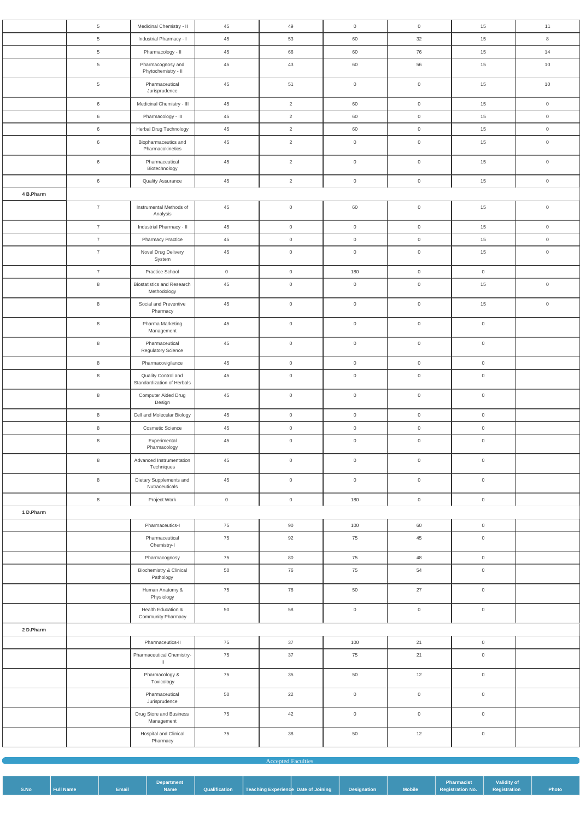|           | $5\phantom{.0}$ | Medicinal Chemistry - II                          | 45                  | 49                  | $\overline{0}$      | $\overline{0}$      | 15                             | 11                  |
|-----------|-----------------|---------------------------------------------------|---------------------|---------------------|---------------------|---------------------|--------------------------------|---------------------|
|           | $5\phantom{.0}$ | Industrial Pharmacy - I                           | 45                  | 53                  | 60                  | 32                  | 15                             | $\bf8$              |
|           | $5\phantom{.0}$ | Pharmacology - II                                 | 45                  | 66                  | 60                  | 76                  | 15                             | 14                  |
|           | $5\phantom{.0}$ | Pharmacognosy and<br>Phytochemistry - II          | 45                  | 43                  | 60                  | 56                  | 15                             | 10                  |
|           | $\overline{5}$  | Pharmaceutical<br>Jurisprudence                   | 45                  | 51                  | $\mathsf{O}\xspace$ | $\mathsf{O}\xspace$ | 15                             | 10                  |
|           | 6               | Medicinal Chemistry - III                         | 45                  | $\overline{2}$      | 60                  | $\overline{0}$      | 15                             | $\overline{0}$      |
|           | 6               | Pharmacology - III                                | 45                  | $\overline{2}$      | 60                  | $\overline{0}$      | 15                             | $\mathsf{O}$        |
|           | $6\,$           | Herbal Drug Technology                            | 45                  | $\overline{2}$      | 60                  | $\overline{0}$      | 15                             | $\mathsf{O}\xspace$ |
|           | 6               | Biopharmaceutics and<br>Pharmacokinetics          | 45                  | $\overline{2}$      | $\overline{0}$      | $\overline{0}$      | 15                             | $\mathsf{O}\xspace$ |
|           | 6               | Pharmaceutical<br>Biotechnology                   | 45                  | $\overline{2}$      | $\mathsf{O}\xspace$ | $\overline{0}$      | 15                             | $\mathsf{O}\xspace$ |
|           | $6\phantom{.}6$ | <b>Quality Assurance</b>                          | 45                  | $\overline{2}$      | $\overline{0}$      | $\overline{0}$      | 15                             | $\mathsf{O}\xspace$ |
| 4 B.Pharm |                 |                                                   |                     |                     |                     |                     |                                |                     |
|           | $\overline{7}$  | Instrumental Methods of<br>Analysis               | 45                  | $\mathsf{O}\xspace$ | 60                  | $\overline{0}$      | 15                             | $\mathsf{O}\xspace$ |
|           | $\overline{7}$  | Industrial Pharmacy - II                          | 45                  | $\mathsf{O}$        | $\overline{0}$      | $\overline{0}$      | 15                             | $\overline{0}$      |
|           | $\overline{7}$  | <b>Pharmacy Practice</b>                          | 45                  | $\overline{0}$      | $\overline{0}$      | $\overline{0}$      | 15                             | $\mathsf 0$         |
|           | $\overline{7}$  | Novel Drug Delivery<br>System                     | 45                  | $\mathsf{O}\xspace$ | $\mathsf{O}\xspace$ | $\mathsf{O}\xspace$ | 15                             | $\mathsf{O}\xspace$ |
|           | $\overline{7}$  | Practice School                                   | $\mathsf{O}\xspace$ | $\overline{0}$      | 180                 | $\overline{0}$      | $\overline{0}$                 |                     |
|           | $\,8\,$         | <b>Biostatistics and Research</b><br>Methodology  | 45                  | $\mathsf{O}\xspace$ | $\mathsf{O}\xspace$ | $\mathsf{O}\xspace$ | 15                             | $\mathsf{O}\xspace$ |
|           | $\,8\,$         | Social and Preventive<br>Pharmacy                 | 45                  | $\mathsf{O}\xspace$ | $\mathsf{O}\xspace$ | $\overline{0}$      | 15                             | $\mathsf{O}\xspace$ |
|           | 8               | Pharma Marketing<br>Management                    | 45                  | $\mathsf{O}$        | $\mathbb O$         | $\mathbb O$         | $\mathbb O$                    |                     |
|           | $\,8\,$         | Pharmaceutical<br>Regulatory Science              | 45                  | $\mathsf{O}\xspace$ | $\mathsf{O}\xspace$ | $\overline{0}$      | $\overline{0}$                 |                     |
|           | 8               | Pharmacovigilance                                 | 45                  | $\overline{0}$      | $\overline{0}$      | $\overline{0}$      | $\overline{0}$                 |                     |
|           | $\,8\,$         | Quality Control and<br>Standardization of Herbals | 45                  | $\mathsf{O}\xspace$ | $\mathsf{O}\xspace$ | $\overline{0}$      | $\overline{0}$                 |                     |
|           | 8               | Computer Aided Drug<br>Design                     | 45                  | $\overline{0}$      | $\mathsf{O}\xspace$ | $\overline{0}$      | $\overline{0}$                 |                     |
|           | 8               | Cell and Molecular Biology                        | 45                  | $\mathsf{O}\xspace$ | $\mathsf{O}\xspace$ | $\overline{0}$      | $\overline{0}$                 |                     |
|           | 8               | Cosmetic Science                                  | 45                  | $\overline{0}$      | $\overline{0}$      | $\overline{0}$      | $\overline{0}$                 |                     |
|           | $\,8\,$         | Experimental<br>Pharmacology                      | 45                  | $\mathsf{O}\xspace$ | $\mathsf{O}\xspace$ | $\overline{0}$      | $\mathsf{O}$                   |                     |
|           | $\,8\,$         | Advanced Instrumentation<br>Techniques            | 45                  | $\mathsf{O}\xspace$ | $\mathsf{O}\xspace$ | $\overline{0}$      | $\overline{0}$                 |                     |
|           | $\,8\,$         | Dietary Supplements and<br>Nutraceuticals         | 45                  | $\overline{0}$      | $\mathsf{O}\xspace$ | $\overline{0}$      | $\overline{0}$                 |                     |
|           | $\,8\,$         | Project Work                                      | $\boldsymbol{0}$    | $\mathsf{O}\xspace$ | 180                 | $\overline{0}$      | $\mathsf{O}$                   |                     |
| 1 D.Pharm |                 |                                                   |                     |                     |                     |                     |                                |                     |
|           |                 | Pharmaceutics-I                                   | 75                  | 90                  | 100                 | 60                  | $\mathsf{O}$                   |                     |
|           |                 | Pharmaceutical<br>Chemistry-I                     | 75                  | 92                  | 75                  | 45                  | $\overline{0}$                 |                     |
|           |                 | Pharmacognosy                                     | 75                  | 80                  | 75                  | 48                  | $\overline{0}$                 |                     |
|           |                 | Biochemistry & Clinical<br>Pathology              | 50                  | 76                  | 75                  | 54                  | $\overline{0}$                 |                     |
|           |                 | Human Anatomy &<br>Physiology                     | 75                  | 78                  | 50                  | 27                  | $\overline{0}$                 |                     |
|           |                 | Health Education &<br>Community Pharmacy          | 50                  | 58                  | $\mathbf 0$         | $\mathsf{O}\xspace$ | $\overline{0}$                 |                     |
| 2 D.Pharm |                 | Pharmaceutics-II                                  | 75                  | 37                  | 100                 | 21                  |                                |                     |
|           |                 | Pharmaceutical Chemistry-                         | 75                  | 37                  | 75                  | 21                  | $\overline{0}$<br>$\mathsf{O}$ |                     |
|           |                 | $\mathbf{II}$<br>Pharmacology &<br>Toxicology     | 75                  | 35                  | 50                  | 12                  | $\mathsf{O}\xspace$            |                     |
|           |                 | Pharmaceutical<br>Jurisprudence                   | 50                  | 22                  | $\mathsf{O}\xspace$ | $\mathsf{O}\xspace$ | $\mathbb O$                    |                     |
|           |                 | Drug Store and Business<br>Management             | 75                  | 42                  | $\mathsf{O}\xspace$ | $\mathsf{O}$        | $\overline{0}$                 |                     |
|           |                 | Hospital and Clinical                             | 75                  | 38                  | 50                  | 12                  | $\mathsf{O}$                   |                     |
|           |                 | Pharmacy                                          |                     |                     |                     |                     |                                |                     |

| <b>Accepted Faculties</b> |  |  |
|---------------------------|--|--|
|                           |  |  |

|      |                  |              | <b>Department</b> |                                                                   |  |                       | Pharmacist                      | <b>Validity of</b> |       |
|------|------------------|--------------|-------------------|-------------------------------------------------------------------|--|-----------------------|---------------------------------|--------------------|-------|
| S.No | <b>Full Name</b> | <b>Email</b> | <b>Name</b>       | Qualification   Teaching Experience Date of Joining   Designation |  | <b>Example Mobile</b> | Registration No.   Registration |                    | Photo |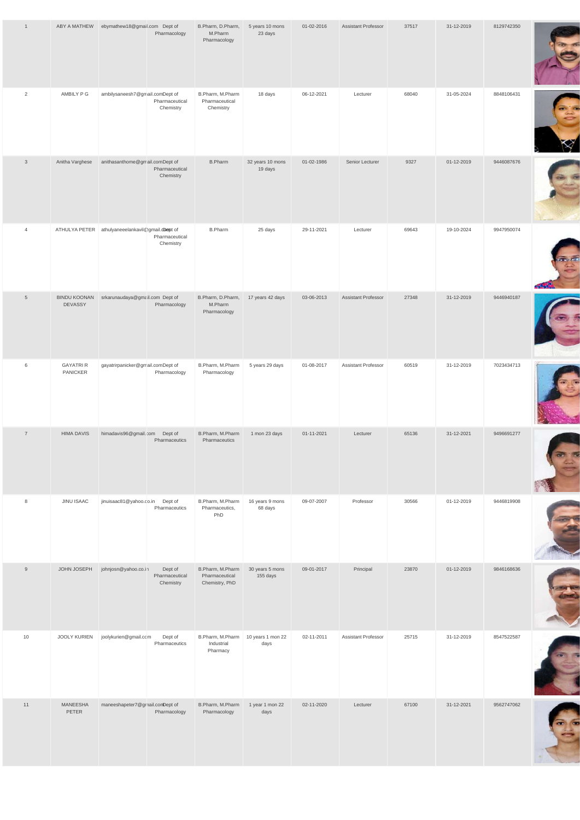| $\overline{1}$  |                                       | ABY A MATHEW ebymathew18@gmail.com Dept of       | Pharmacology                           | B.Pharm, D.Pharm,<br>M.Pharm<br>Pharmacology         | 5 years 10 mons<br>23 days  | 01-02-2016 | <b>Assistant Professor</b> | 37517 | 31-12-2019 | 8129742350 |  |
|-----------------|---------------------------------------|--------------------------------------------------|----------------------------------------|------------------------------------------------------|-----------------------------|------------|----------------------------|-------|------------|------------|--|
| $\overline{2}$  | AMBILY P G                            | ambilysaneesh7@gmail.comDept of                  | Pharmaceutical<br>Chemistry            | B.Pharm, M.Pharm<br>Pharmaceutical<br>Chemistry      | 18 days                     | 06-12-2021 | Lecturer                   | 68040 | 31-05-2024 | 8848106431 |  |
| $\mathbf{3}$    | Anitha Varghese                       | anithasanthome@gmail.comDept of                  | Pharmaceutical<br>Chemistry            | <b>B.Pharm</b>                                       | 32 years 10 mons<br>19 days | 01-02-1986 | Senior Lecturer            | 9327  | 01-12-2019 | 9446087676 |  |
| $\overline{4}$  |                                       | ATHULYA PETER athulyaneeelankavil@gmail.dompt of | Pharmaceutical<br>Chemistry            | <b>B.Pharm</b>                                       | 25 days                     | 29-11-2021 | Lecturer                   | 69643 | 19-10-2024 | 9947950074 |  |
| $5\phantom{.0}$ | <b>BINDU KOONAN</b><br><b>DEVASSY</b> | srkarunaudaya@gmail.com Dept of                  | Pharmacology                           | B.Pharm, D.Pharm,<br>M.Pharm<br>Pharmacology         | 17 years 42 days            | 03-06-2013 | Assistant Professor        | 27348 | 31-12-2019 | 9446940187 |  |
| 6               | <b>GAYATRI R</b><br>PANICKER          | gayatrirpanicker@gmail.comDept of                | Pharmacology                           | B.Pharm, M.Pharm<br>Pharmacology                     | 5 years 29 days             | 01-08-2017 | <b>Assistant Professor</b> | 60519 | 31-12-2019 | 7023434713 |  |
| $\overline{7}$  | <b>HIMA DAVIS</b>                     | himadavis96@gmail.com                            | Dept of<br>Pharmaceutics               | B.Pharm, M.Pharm<br>Pharmaceutics                    | 1 mon 23 days               | 01-11-2021 | Lecturer                   | 65136 | 31-12-2021 | 9496691277 |  |
| 8               | JINU ISAAC                            | jinuisaac81@yahoo.co.in Dept of                  | Pharmaceutics                          | B.Pharm, M.Pharm<br>Pharmaceutics,<br>PhD            | 16 years 9 mons<br>68 days  | 09-07-2007 | Professor                  | 30566 | 01-12-2019 | 9446819908 |  |
| 9               | JOHN JOSEPH                           | johnjosn@yahoo.co.in                             | Dept of<br>Pharmaceutical<br>Chemistry | B.Pharm, M.Pharm<br>Pharmaceutical<br>Chemistry, PhD | 30 years 5 mons<br>155 days | 09-01-2017 | Principal                  | 23870 | 01-12-2019 | 9846168636 |  |

| 10 | JOOLY KURIEN      | joolykurien@gmail.com            | Dept of<br>Pharmaceutics | B.Pharm, M.Pharm<br>Industrial<br>Pharmacy | 10 years 1 mon 22<br>days | 02-11-2011 | <b>Assistant Professor</b> | 25715 | 31-12-2019 | 8547522587 |  |
|----|-------------------|----------------------------------|--------------------------|--------------------------------------------|---------------------------|------------|----------------------------|-------|------------|------------|--|
| 11 | MANEESHA<br>PETER | maneeshapeter7@grnail.comDept of | Pharmacology             | B.Pharm, M.Pharm<br>Pharmacology           | 1 year 1 mon 22<br>days   | 02-11-2020 | Lecturer                   | 67100 | 31-12-2021 | 9562747062 |  |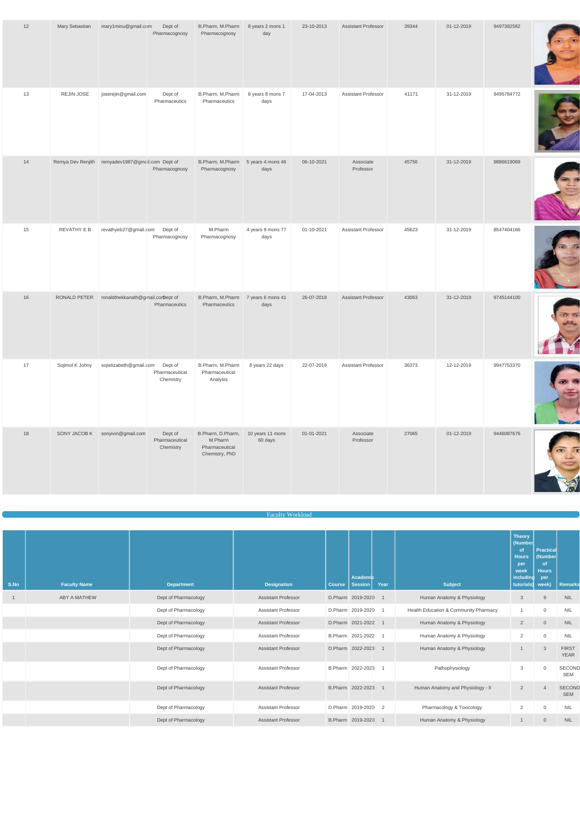| 12 | Mary Sebastian  | mary1minu@gmail.com                              | Dept of<br>Pharmacognosy               | B.Pharm, M.Pharm<br>Pharmacognosy                                | 8 years 2 mons 1<br>day     | 23-10-2013 | <b>Assistant Professor</b> | 39344 | 01-12-2019 | 9497382582 |  |
|----|-----------------|--------------------------------------------------|----------------------------------------|------------------------------------------------------------------|-----------------------------|------------|----------------------------|-------|------------|------------|--|
| 13 | REJIN JOSE      | joserejin@gmail.com                              | Dept of<br>Pharmaceutics               | B.Pharm, M.Pharm<br>Pharmaceutics                                | 8 years 8 mons 7<br>days    | 17-04-2013 | Assistant Professor        | 41171 | 31-12-2019 | 9495784772 |  |
| 14 |                 | Remya Dev Renjith remyadev1987@gmail.com Dept of | Pharmacognosy                          | B.Pharm, M.Pharm<br>Pharmacognosy                                | 5 years 4 mons 46<br>days   | 06-10-2021 | Associate<br>Professor     | 45756 | 31-12-2019 | 9886619069 |  |
| 15 | REVATHY E B     | revathyeb27@gmail.com Dept of                    | Pharmacognosy                          | M.Pharm<br>Pharmacognosy                                         | 4 years 9 mons 77<br>days   | 01-10-2021 | Assistant Professor        | 45623 | 31-12-2019 | 8547404166 |  |
| 16 |                 | RONALD PETER ronaldthekkanath@gmail.corDept of   | Pharmaceutics                          | B.Pharm, M.Pharm<br>Pharmaceutics                                | 7 years 6 mons 41<br>days   | 26-07-2018 | <b>Assistant Professor</b> | 43063 | 31-12-2019 | 9745144100 |  |
| 17 | Sojimol K Johny | sojielizabeth@gmail.com Dept of                  | Pharmaceutical<br>Chemistry            | B.Pharm, M.Pharm<br>Pharmaceutical<br>Analysis                   | 8 years 22 days             | 22-07-2019 | <b>Assistant Professor</b> | 36373 | 12-12-2019 | 9947753370 |  |
| 18 | SONY JACOB K    | sonyivin@gmail.com                               | Dept of<br>Pharmaceutical<br>Chemistry | B.Pharm, D.Pharm,<br>M.Pharm<br>Pharmaceutical<br>Chemistry, PhD | 10 years 11 mons<br>60 days | 01-01-2021 | Associate<br>Professor     | 27065 | 01-12-2019 | 9446087676 |  |

|      |                     |                      | <b>Faculty Workload</b>    |                              |      |                                       |                                           |                          |            |
|------|---------------------|----------------------|----------------------------|------------------------------|------|---------------------------------------|-------------------------------------------|--------------------------|------------|
|      |                     |                      |                            |                              |      |                                       |                                           |                          |            |
|      |                     |                      |                            |                              |      |                                       | <b>Theory</b><br>(Number<br><sub>of</sub> | Practical                |            |
|      |                     |                      |                            |                              |      |                                       | <b>Hours</b><br>per                       | (Number<br><sub>of</sub> |            |
|      |                     |                      |                            |                              |      |                                       | week                                      | <b>Hours</b>             |            |
| S.No | <b>Faculty Name</b> | <b>Department</b>    | <b>Designation</b>         | Academic<br>Course   Session | Year | <b>Subject</b>                        | including<br>tutorials) week)             | per                      | Remarks    |
|      | <b>ABY A MATHEW</b> | Dept of Pharmacology | <b>Assistant Professor</b> | D.Pharm 2019-2020            |      | Human Anatomy & Physiology            | 3                                         | 9                        | <b>NIL</b> |
|      |                     | Dept of Pharmacology | <b>Assistant Professor</b> | D.Pharm 2019-2020            |      | Health Education & Community Pharmacy |                                           | $\mathbf 0$              | <b>NIL</b> |

| Dept of Pharmacology | <b>Assistant Professor</b> | D.Pharm 2021-2022   |  | Human Anatomy & Physiology        | $\overline{2}$ | $\overline{0}$ | <b>NIL</b>                  |
|----------------------|----------------------------|---------------------|--|-----------------------------------|----------------|----------------|-----------------------------|
| Dept of Pharmacology | <b>Assistant Professor</b> | B.Pharm 2021-2022 1 |  | Human Anatomy & Physiology        | 2              | $\overline{0}$ | <b>NIL</b>                  |
| Dept of Pharmacology | <b>Assistant Professor</b> | D.Pharm 2022-2023 1 |  | Human Anatomy & Physiology        |                | -3             | <b>FIRST</b><br><b>YEAR</b> |
| Dept of Pharmacology | <b>Assistant Professor</b> | B.Pharm 2022-2023 1 |  | Pathophysiology                   | 3              |                | <b>SECOND</b><br><b>SEM</b> |
| Dept of Pharmacology | <b>Assistant Professor</b> | B.Pharm 2022-2023 1 |  | Human Anatomy and Physiology - II | $\overline{2}$ |                | <b>SECOND</b><br><b>SEM</b> |
| Dept of Pharmacology | <b>Assistant Professor</b> | D.Pharm 2019-2020 2 |  | Pharmacology & Toxicology         | 2              | $\Omega$       | <b>NIL</b>                  |
| Dept of Pharmacology | <b>Assistant Professor</b> | B.Pharm 2019-2020 1 |  | Human Anatomy & Physiology        |                | $\overline{0}$ | <b>NIL</b>                  |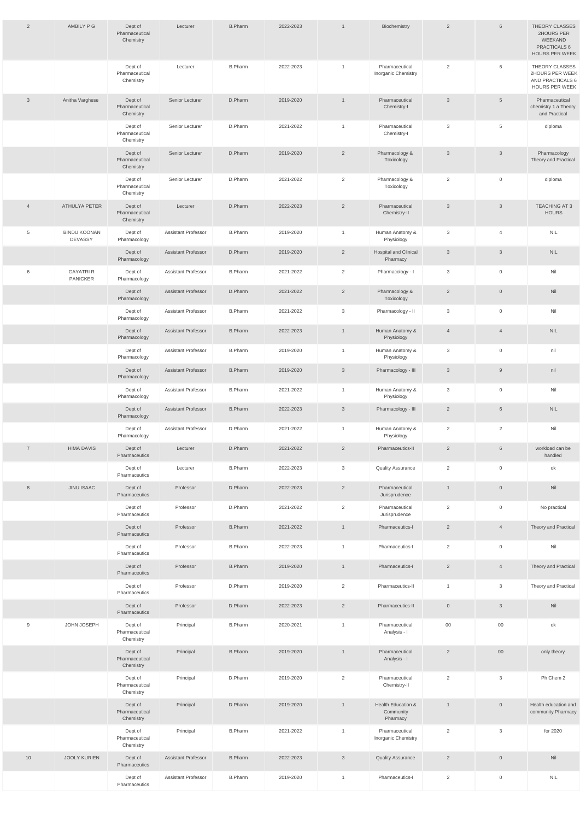| $\overline{2}$ | AMBILY P G                            | Dept of<br>Pharmaceutical<br>Chemistry | Lecturer                   | <b>B.Pharm</b> | 2022-2023 | $\overline{1}$ | Biochemistry                                | $\overline{2}$ | 6                   | THEORY CLASSES<br>2HOURS PER<br>WEEKAND<br>PRACTICALS 6<br><b>HOURS PER WEEK</b> |
|----------------|---------------------------------------|----------------------------------------|----------------------------|----------------|-----------|----------------|---------------------------------------------|----------------|---------------------|----------------------------------------------------------------------------------|
|                |                                       | Dept of<br>Pharmaceutical<br>Chemistry | Lecturer                   | <b>B.Pharm</b> | 2022-2023 | $\mathbf{1}$   | Pharmaceutical<br>Inorganic Chemistry       | $\overline{2}$ | 6                   | THEORY CLASSES<br>2HOURS PER WEEK<br>AND PRACTICALS 6<br>HOURS PER WEEK          |
| $\mathbf{3}$   | Anitha Varghese                       | Dept of<br>Pharmaceutical<br>Chemistry | Senior Lecturer            | D.Pharm        | 2019-2020 | $\overline{1}$ | Pharmaceutical<br>Chemistry-I               | $\mathbf{3}$   | $5\phantom{.0}$     | Pharmaceutical<br>chemistry 1 a Theory<br>and Practical                          |
|                |                                       | Dept of<br>Pharmaceutical<br>Chemistry | Senior Lecturer            | D.Pharm        | 2021-2022 | $\overline{1}$ | Pharmaceutical<br>Chemistry-I               | 3              | $5\phantom{.0}$     | diploma                                                                          |
|                |                                       | Dept of<br>Pharmaceutical<br>Chemistry | Senior Lecturer            | D.Pharm        | 2019-2020 | $\overline{2}$ | Pharmacology &<br>Toxicology                | $\mathbf{3}$   | $\mathbf{3}$        | Pharmacology<br>Theory and Practical                                             |
|                |                                       | Dept of<br>Pharmaceutical<br>Chemistry | Senior Lecturer            | D.Pharm        | 2021-2022 | 2              | Pharmacology &<br>Toxicology                | 2              | $\mathsf 0$         | diploma                                                                          |
| $\overline{4}$ | <b>ATHULYA PETER</b>                  | Dept of<br>Pharmaceutical<br>Chemistry | Lecturer                   | D.Pharm        | 2022-2023 | 2              | Pharmaceutical<br>Chemistry-II              | $\mathbf{3}$   | $\mathbf{3}$        | <b>TEACHING AT 3</b><br><b>HOURS</b>                                             |
| 5              | <b>BINDU KOONAN</b><br><b>DEVASSY</b> | Dept of<br>Pharmacology                | <b>Assistant Professor</b> | <b>B.Pharm</b> | 2019-2020 | $\overline{1}$ | Human Anatomy &<br>Physiology               | 3              | $\overline{4}$      | <b>NIL</b>                                                                       |
|                |                                       | Dept of<br>Pharmacology                | <b>Assistant Professor</b> | D.Pharm        | 2019-2020 | $\overline{2}$ | <b>Hospital and Clinical</b><br>Pharmacy    | $\mathbf{3}$   | $\mathbf{3}$        | $\ensuremath{\mathsf{NIL}}$                                                      |
| 6              | <b>GAYATRI R</b><br>PANICKER          | Dept of<br>Pharmacology                | <b>Assistant Professor</b> | <b>B.Pharm</b> | 2021-2022 | 2              | Pharmacology - I                            | 3              | $\mathsf 0$         | Nil                                                                              |
|                |                                       | Dept of<br>Pharmacology                | <b>Assistant Professor</b> | D.Pharm        | 2021-2022 | $\overline{2}$ | Pharmacology &<br>Toxicology                | $\overline{2}$ | $\mathsf{O}\xspace$ | Nil                                                                              |
|                |                                       | Dept of<br>Pharmacology                | <b>Assistant Professor</b> | <b>B.Pharm</b> | 2021-2022 | 3              | Pharmacology - II                           | 3              | $\overline{0}$      | Nil                                                                              |
|                |                                       | Dept of<br>Pharmacology                | <b>Assistant Professor</b> | <b>B.Pharm</b> | 2022-2023 | $\mathbf{1}$   | Human Anatomy &<br>Physiology               | $\overline{4}$ | $\overline{4}$      | $\ensuremath{\mathsf{NIL}}$                                                      |
|                |                                       | Dept of<br>Pharmacology                | <b>Assistant Professor</b> | <b>B.Pharm</b> | 2019-2020 | $\mathbf{1}$   | Human Anatomy &<br>Physiology               | 3              | $\mathsf 0$         | nil                                                                              |
|                |                                       | Dept of<br>Pharmacology                | <b>Assistant Professor</b> | <b>B.Pharm</b> | 2019-2020 | $\mathbf{3}$   | Pharmacology - III                          | $\mathbf{3}$   | 9                   | nil                                                                              |
|                |                                       | Dept of<br>Pharmacology                | <b>Assistant Professor</b> | <b>B.Pharm</b> | 2021-2022 | $\mathbf{1}$   | Human Anatomy &<br>Physiology               | 3              | $\overline{0}$      | Nil                                                                              |
|                |                                       | Dept of<br>Pharmacology                | <b>Assistant Professor</b> | <b>B.Pharm</b> | 2022-2023 | $\mathbf{3}$   | Pharmacology - III                          | $\overline{2}$ | $6\phantom{.}6$     | $NIL$                                                                            |
|                |                                       | Dept of<br>Pharmacology                | <b>Assistant Professor</b> | D.Pharm        | 2021-2022 | $\mathbf{1}$   | Human Anatomy &<br>Physiology               | 2              | 2                   | Nil                                                                              |
| $\overline{7}$ | <b>HIMA DAVIS</b>                     | Dept of<br>Pharmaceutics               | Lecturer                   | D.Pharm        | 2021-2022 | $\overline{2}$ | Pharmaceutics-II                            | $\overline{2}$ | $6\phantom{.}6$     | workload can be<br>handled                                                       |
|                |                                       | Dept of<br>Pharmaceutics               | Lecturer                   | <b>B.Pharm</b> | 2022-2023 | 3              | <b>Quality Assurance</b>                    | 2              | $\mathsf 0$         | ok                                                                               |
| 8              | <b>JINU ISAAC</b>                     | Dept of<br>Pharmaceutics               | Professor                  | D.Pharm        | 2022-2023 | $\overline{2}$ | Pharmaceutical<br>Jurisprudence             | $\overline{1}$ | $\overline{0}$      | Nil                                                                              |
|                |                                       | Dept of<br>Pharmaceutics               | Professor                  | D.Pharm        | 2021-2022 | 2              | Pharmaceutical<br>Jurisprudence             | 2              | $\overline{0}$      | No practical                                                                     |
|                |                                       | Dept of<br>Pharmaceutics               | Professor                  | <b>B.Pharm</b> | 2021-2022 | $\mathbf{1}$   | Pharmaceutics-I                             | $\overline{2}$ | $\overline{4}$      | Theory and Practical                                                             |
|                |                                       | Dept of<br>Pharmaceutics               | Professor                  | <b>B.Pharm</b> | 2022-2023 | $\overline{1}$ | Pharmaceutics-I                             | 2              | $\overline{0}$      | Nil                                                                              |
|                |                                       | Dept of<br>Pharmaceutics               | Professor                  | <b>B.Pharm</b> | 2019-2020 | $\overline{1}$ | Pharmaceutics-I                             | $\overline{2}$ | $\overline{4}$      | Theory and Practical                                                             |
|                |                                       | Dept of<br>Pharmaceutics               | Professor                  | D.Pharm        | 2019-2020 | $\overline{2}$ | Pharmaceutics-II                            | $\mathbf{1}$   | $\mathbf{3}$        | Theory and Practical                                                             |
|                |                                       | Dept of<br>Pharmaceutics               | Professor                  | D.Pharm        | 2022-2023 | $\overline{2}$ | Pharmaceutics-II                            | $\overline{0}$ | $\mathbf{3}$        | Nil                                                                              |
| 9              | JOHN JOSEPH                           | Dept of<br>Pharmaceutical<br>Chemistry | Principal                  | <b>B.Pharm</b> | 2020-2021 | $\overline{1}$ | Pharmaceutical<br>Analysis - I              | $00\,$         | $00\,$              | ok                                                                               |
|                |                                       | Dept of<br>Pharmaceutical<br>Chemistry | Principal                  | <b>B.Pharm</b> | 2019-2020 | $\overline{1}$ | Pharmaceutical<br>Analysis - I              | $\overline{2}$ | $00\,$              | only theory                                                                      |
|                |                                       | Dept of<br>Pharmaceutical<br>Chemistry | Principal                  | D.Pharm        | 2019-2020 | $\overline{2}$ | Pharmaceutical<br>Chemistry-II              | $\overline{2}$ | $\mathbf{3}$        | Ph Chem 2                                                                        |
|                |                                       | Dept of<br>Pharmaceutical<br>Chemistry | Principal                  | D.Pharm        | 2019-2020 | $\mathbf{1}$   | Health Education &<br>Community<br>Pharmacy | $\mathbf{1}$   | $\overline{0}$      | Health education and<br>community Pharmacy                                       |
|                |                                       | Dept of<br>Pharmaceutical<br>Chemistry | Principal                  | <b>B.Pharm</b> | 2021-2022 | $\mathbf{1}$   | Pharmaceutical<br>Inorganic Chemistry       | 2              | $\mathbf{3}$        | for 2020                                                                         |
| 10             | <b>JOOLY KURIEN</b>                   | Dept of<br>Pharmaceutics               | <b>Assistant Professor</b> | <b>B.Pharm</b> | 2022-2023 | $\mathfrak{Z}$ | <b>Quality Assurance</b>                    | $\overline{2}$ | $\overline{0}$      | Nil                                                                              |
|                |                                       | Dept of<br>Pharmaceutics               | <b>Assistant Professor</b> | <b>B.Pharm</b> | 2019-2020 | $\mathbf{1}$   | Pharmaceutics-I                             | 2              | $\mathsf 0$         | $\ensuremath{\mathsf{NIL}}$                                                      |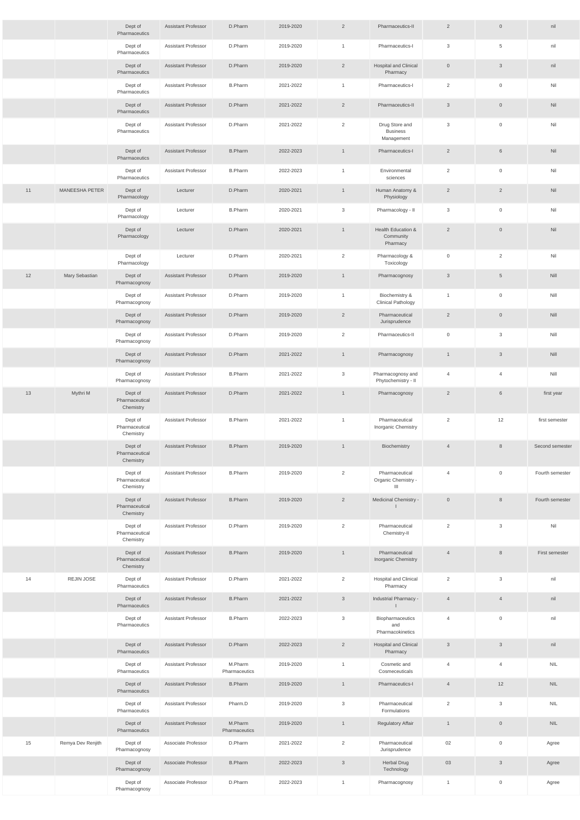|    |                   | Dept of<br>Pharmaceutics               | <b>Assistant Professor</b> | D.Pharm                  | 2019-2020 | $\overline{2}$ | Pharmaceutics-II                                | $\overline{2}$ | $\overline{0}$      | nil             |
|----|-------------------|----------------------------------------|----------------------------|--------------------------|-----------|----------------|-------------------------------------------------|----------------|---------------------|-----------------|
|    |                   | Dept of<br>Pharmaceutics               | <b>Assistant Professor</b> | D.Pharm                  | 2019-2020 | $\overline{1}$ | Pharmaceutics-I                                 | $\mathbf{3}$   | $5\phantom{.0}$     | nil             |
|    |                   | Dept of<br>Pharmaceutics               | <b>Assistant Professor</b> | D.Pharm                  | 2019-2020 | $\overline{2}$ | <b>Hospital and Clinical</b><br>Pharmacy        | $\overline{0}$ | $\mathbf{3}$        | nil             |
|    |                   | Dept of<br>Pharmaceutics               | <b>Assistant Professor</b> | <b>B.Pharm</b>           | 2021-2022 | $\mathbf{1}$   | Pharmaceutics-I                                 | 2              | $\overline{0}$      | Nil             |
|    |                   | Dept of<br>Pharmaceutics               | <b>Assistant Professor</b> | D.Pharm                  | 2021-2022 | $\overline{2}$ | Pharmaceutics-II                                | $\mathbf{3}$   | $\mathbb O$         | Nil             |
|    |                   | Dept of<br>Pharmaceutics               | <b>Assistant Professor</b> | D.Pharm                  | 2021-2022 | 2              | Drug Store and<br><b>Business</b><br>Management | 3              | $\mathsf 0$         | Nil             |
|    |                   | Dept of<br>Pharmaceutics               | <b>Assistant Professor</b> | <b>B.Pharm</b>           | 2022-2023 | $\overline{1}$ | Pharmaceutics-I                                 | $\overline{2}$ | $\,$ 6 $\,$         | Nil             |
|    |                   | Dept of<br>Pharmaceutics               | <b>Assistant Professor</b> | <b>B.Pharm</b>           | 2022-2023 | $\overline{1}$ | Environmental<br>sciences                       | 2              | $\mathsf 0$         | Nil             |
| 11 | MANEESHA PETER    | Dept of<br>Pharmacology                | Lecturer                   | D.Pharm                  | 2020-2021 | $\overline{1}$ | Human Anatomy &<br>Physiology                   | $\overline{2}$ | $\overline{2}$      | Nil             |
|    |                   | Dept of<br>Pharmacology                | Lecturer                   | <b>B.Pharm</b>           | 2020-2021 | $\mathbf{3}$   | Pharmacology - II                               | $\mathbf{3}$   | $\mathsf{O}\xspace$ | Nil             |
|    |                   | Dept of<br>Pharmacology                | Lecturer                   | D.Pharm                  | 2020-2021 | $\overline{1}$ | Health Education &<br>Community<br>Pharmacy     | $\overline{2}$ | $\mathsf{O}$        | Nil             |
|    |                   | Dept of<br>Pharmacology                | Lecturer                   | D.Pharm                  | 2020-2021 | 2              | Pharmacology &<br>Toxicology                    | $\mathsf{O}$   | $\overline{2}$      | Nil             |
| 12 | Mary Sebastian    | Dept of<br>Pharmacognosy               | <b>Assistant Professor</b> | D.Pharm                  | 2019-2020 | $\overline{1}$ | Pharmacognosy                                   | $\mathbf{3}$   | $\overline{5}$      | Nill            |
|    |                   | Dept of<br>Pharmacognosy               | <b>Assistant Professor</b> | D.Pharm                  | 2019-2020 | $\overline{1}$ | Biochemistry &<br><b>Clinical Pathology</b>     | $\overline{1}$ | $\mathsf 0$         | Nill            |
|    |                   | Dept of<br>Pharmacognosy               | <b>Assistant Professor</b> | D.Pharm                  | 2019-2020 | $\overline{2}$ | Pharmaceutical<br>Jurisprudence                 | $\overline{2}$ | $\overline{0}$      | Nill            |
|    |                   | Dept of<br>Pharmacognosy               | <b>Assistant Professor</b> | D.Pharm                  | 2019-2020 | 2              | Pharmaceutics-II                                | $\mathbf 0$    | 3                   | Nill            |
|    |                   | Dept of<br>Pharmacognosy               | <b>Assistant Professor</b> | D.Pharm                  | 2021-2022 | $\overline{1}$ | Pharmacognosy                                   | $\overline{1}$ | $\mathbf{3}$        | Nill            |
|    |                   | Dept of<br>Pharmacognosy               | <b>Assistant Professor</b> | <b>B.Pharm</b>           | 2021-2022 | $\mathbf{3}$   | Pharmacognosy and<br>Phytochemistry - II        | $\overline{4}$ | $\overline{4}$      | Nill            |
| 13 | Mythri M          | Dept of<br>Pharmaceutical<br>Chemistry | <b>Assistant Professor</b> | D.Pharm                  | 2021-2022 | $\overline{1}$ | Pharmacognosy                                   | $\overline{2}$ | $6\phantom{.}6$     | first year      |
|    |                   | Dept of<br>Pharmaceutical<br>Chemistry | <b>Assistant Professor</b> | <b>B.Pharm</b>           | 2021-2022 | $\overline{1}$ | Pharmaceutical<br><b>Inorganic Chemistry</b>    | 2              | 12                  | first semester  |
|    |                   | Dept of<br>Pharmaceutical<br>Chemistry | <b>Assistant Professor</b> | <b>B.Pharm</b>           | 2019-2020 | $\overline{1}$ | Biochemistry                                    | $\overline{4}$ | $\,8\,$             | Second semester |
|    |                   | Dept of<br>Pharmaceutical<br>Chemistry | <b>Assistant Professor</b> | <b>B.Pharm</b>           | 2019-2020 | 2              | Pharmaceutical<br>Organic Chemistry -<br>Ш      | $\overline{4}$ | $\mathbf 0$         | Fourth semester |
|    |                   | Dept of<br>Pharmaceutical<br>Chemistry | <b>Assistant Professor</b> | <b>B.Pharm</b>           | 2019-2020 | $\overline{2}$ | Medicinal Chemistry -                           | $\overline{0}$ | $\,8\,$             | Fourth semester |
|    |                   | Dept of<br>Pharmaceutical<br>Chemistry | <b>Assistant Professor</b> | D.Pharm                  | 2019-2020 | 2              | Pharmaceutical<br>Chemistry-II                  | 2              | 3                   | Nil             |
|    |                   | Dept of<br>Pharmaceutical<br>Chemistry | <b>Assistant Professor</b> | <b>B.Pharm</b>           | 2019-2020 | $\overline{1}$ | Pharmaceutical<br>Inorganic Chemistry           | $\overline{4}$ | $\,8\,$             | First semester  |
| 14 | REJIN JOSE        | Dept of<br>Pharmaceutics               | <b>Assistant Professor</b> | D.Pharm                  | 2021-2022 | 2              | <b>Hospital and Clinical</b><br>Pharmacy        | 2              | $\mathbf{3}$        | nil             |
|    |                   | Dept of<br>Pharmaceutics               | <b>Assistant Professor</b> | <b>B.Pharm</b>           | 2021-2022 | $\mathbf{3}$   | Industrial Pharmacy -                           | $\overline{4}$ | $\overline{4}$      | nil             |
|    |                   | Dept of<br>Pharmaceutics               | <b>Assistant Professor</b> | <b>B.Pharm</b>           | 2022-2023 | $\mathbf{3}$   | Biopharmaceutics<br>and<br>Pharmacokinetics     | $\overline{4}$ | $\mathbf 0$         | nil             |
|    |                   | Dept of<br>Pharmaceutics               | <b>Assistant Professor</b> | D.Pharm                  | 2022-2023 | $\overline{2}$ | <b>Hospital and Clinical</b><br>Pharmacy        | $\mathbf{3}$   | $\mathbf{3}$        | nil             |
|    |                   | Dept of<br>Pharmaceutics               | <b>Assistant Professor</b> | M.Pharm<br>Pharmaceutics | 2019-2020 | $\mathbf{1}$   | Cosmetic and<br>Cosmeceuticals                  | $\overline{4}$ | $\overline{4}$      | <b>NIL</b>      |
|    |                   | Dept of<br>Pharmaceutics               | <b>Assistant Professor</b> | <b>B.Pharm</b>           | 2019-2020 | $\overline{1}$ | Pharmaceutics-I                                 | $\overline{4}$ | 12                  | <b>NIL</b>      |
|    |                   | Dept of<br>Pharmaceutics               | <b>Assistant Professor</b> | Pharm.D                  | 2019-2020 | 3              | Pharmaceutical<br>Formulations                  | 2              | 3                   | <b>NIL</b>      |
|    |                   | Dept of<br>Pharmaceutics               | <b>Assistant Professor</b> | M.Pharm<br>Pharmaceutics | 2019-2020 | $\overline{1}$ | <b>Regulatory Affair</b>                        | $\overline{1}$ | $\,0\,$             | <b>NIL</b>      |
| 15 | Remya Dev Renjith | Dept of<br>Pharmacognosy               | Associate Professor        | D.Pharm                  | 2021-2022 | $\overline{2}$ | Pharmaceutical<br>Jurisprudence                 | 02             | $\mathsf 0$         | Agree           |
|    |                   | Dept of<br>Pharmacognosy               | Associate Professor        | <b>B.Pharm</b>           | 2022-2023 | $\mathbf{3}$   | <b>Herbal Drug</b><br>Technology                | 03             | $\mathbf{3}$        | Agree           |
|    |                   | Dept of<br>Pharmacognosy               | Associate Professor        | D.Pharm                  | 2022-2023 | $\overline{1}$ | Pharmacognosy                                   | $\overline{1}$ | $\boldsymbol{0}$    | Agree           |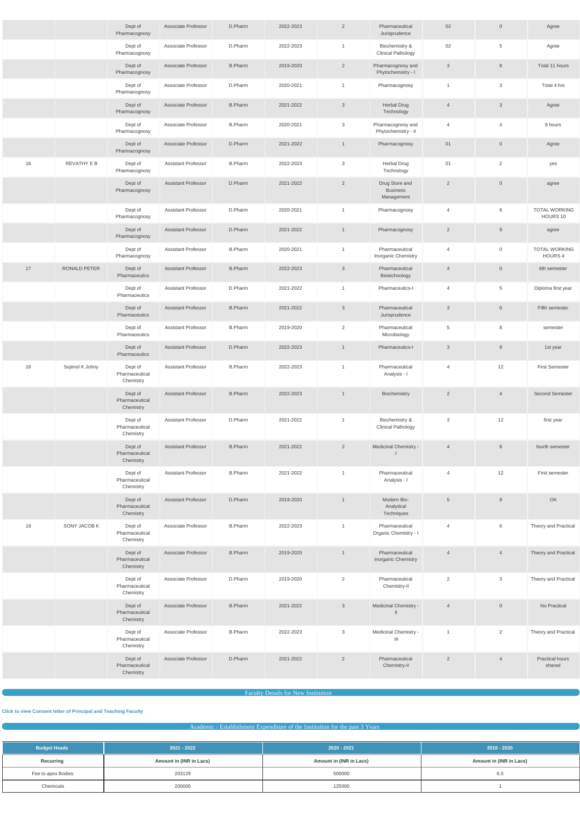|    |                 | Dept of<br>Pharmacognosy               | Associate Professor        | D.Pharm        | 2022-2023 | $\overline{2}$ | Pharmaceutical<br>Jurisprudence                 | 02              | $\mathbf{0}$   | Agree                            |
|----|-----------------|----------------------------------------|----------------------------|----------------|-----------|----------------|-------------------------------------------------|-----------------|----------------|----------------------------------|
|    |                 | Dept of<br>Pharmacognosy               | Associate Professor        | D.Pharm        | 2022-2023 | $\mathbf{1}$   | Biochemistry &<br><b>Clinical Pathology</b>     | 02              | $\overline{5}$ | Agree                            |
|    |                 | Dept of<br>Pharmacognosy               | Associate Professor        | <b>B.Pharm</b> | 2019-2020 | $\overline{2}$ | Pharmacognosy and<br>Phytochemistry - I         | $\mathbf{3}$    | 8              | Total 11 hours                   |
|    |                 | Dept of<br>Pharmacognosy               | Associate Professor        | D.Pharm        | 2020-2021 | $\mathbf{1}$   | Pharmacognosy                                   | $\overline{1}$  | 3              | Total 4 hrs                      |
|    |                 | Dept of<br>Pharmacognosy               | Associate Professor        | <b>B.Pharm</b> | 2021-2022 | $\mathbf{3}$   | <b>Herbal Drug</b><br>Technology                | $\overline{4}$  | $\mathbf{3}$   | Agree                            |
|    |                 | Dept of<br>Pharmacognosy               | Associate Professor        | <b>B.Pharm</b> | 2020-2021 | $\mathbf{3}$   | Pharmacognosy and<br>Phytochemistry - II        | 4               | $\overline{4}$ | 8 hours                          |
|    |                 | Dept of<br>Pharmacognosy               | Associate Professor        | D.Pharm        | 2021-2022 | $\mathbf{1}$   | Pharmacognosy                                   | 01              | $\overline{0}$ | Agree                            |
| 16 | REVATHY E B     | Dept of<br>Pharmacognosy               | <b>Assistant Professor</b> | <b>B.Pharm</b> | 2022-2023 | 3              | <b>Herbal Drug</b><br>Technology                | 01              | $\overline{2}$ | yes                              |
|    |                 | Dept of<br>Pharmacognosy               | <b>Assistant Professor</b> | D.Pharm        | 2021-2022 | $\overline{2}$ | Drug Store and<br><b>Business</b><br>Management | $\overline{2}$  | $\mathbb O$    | agree                            |
|    |                 | Dept of<br>Pharmacognosy               | <b>Assistant Professor</b> | D.Pharm        | 2020-2021 | $\overline{1}$ | Pharmacognosy                                   | 4               | 6              | <b>TOTAL WORKING</b><br>HOURS 10 |
|    |                 | Dept of<br>Pharmacognosy               | <b>Assistant Professor</b> | D.Pharm        | 2021-2022 | $\mathbf{1}$   | Pharmacognosy                                   | $\overline{2}$  | 9              | agree                            |
|    |                 | Dept of<br>Pharmacognosy               | <b>Assistant Professor</b> | <b>B.Pharm</b> | 2020-2021 | $\mathbf{1}$   | Pharmaceutical<br>Inorganic Chemistry           | 4               | $\overline{0}$ | <b>TOTAL WORKING</b><br>HOURS 4  |
| 17 | RONALD PETER    | Dept of<br>Pharmaceutics               | <b>Assistant Professor</b> | <b>B.Pharm</b> | 2022-2023 | $\mathbf{3}$   | Pharmaceutical<br>Biotechnology                 | $\overline{4}$  | $\overline{0}$ | 6th semester                     |
|    |                 | Dept of<br>Pharmaceutics               | <b>Assistant Professor</b> | D.Pharm        | 2021-2022 | $\overline{1}$ | Pharmaceutics-I                                 | 4               | $\overline{5}$ | Diploma first year               |
|    |                 | Dept of<br>Pharmaceutics               | <b>Assistant Professor</b> | <b>B.Pharm</b> | 2021-2022 | $\mathbf{3}$   | Pharmaceutical<br>Jurisprudence                 | $\mathbf{3}$    | $\overline{0}$ | Fifth semester                   |
|    |                 | Dept of<br>Pharmaceutics               | Assistant Professor        | <b>B.Pharm</b> | 2019-2020 | $\overline{2}$ | Pharmaceutical<br>Microbiology                  | 5               | 8              | semester                         |
|    |                 | Dept of<br>Pharmaceutics               | <b>Assistant Professor</b> | D.Pharm        | 2022-2023 | $\overline{1}$ | Pharmaceutics-I                                 | $\mathbf{3}$    | 9              | 1st year                         |
| 18 | Sojimol K Johny | Dept of<br>Pharmaceutical<br>Chemistry | <b>Assistant Professor</b> | <b>B.Pharm</b> | 2022-2023 | $\overline{1}$ | Pharmaceutical<br>Analysis - I                  | $\overline{4}$  | 12             | <b>First Semester</b>            |
|    |                 | Dept of<br>Pharmaceutical<br>Chemistry | <b>Assistant Professor</b> | <b>B.Pharm</b> | 2022-2023 | $\mathbf{1}$   | Biochemistry                                    | $\overline{2}$  | $\overline{4}$ | <b>Second Semester</b>           |
|    |                 | Dept of<br>Pharmaceutical<br>Chemistry | <b>Assistant Professor</b> | D.Pharm        | 2021-2022 | $\mathbf{1}$   | Biochemistry &<br><b>Clinical Pathology</b>     | 3               | 12             | first year                       |
|    |                 | Dept of<br>Pharmaceutical<br>Chemistry | <b>Assistant Professor</b> | <b>B.Pharm</b> | 2021-2022 | $\overline{2}$ | Medicinal Chemistry -                           | $\overline{4}$  | 8              | fourth semester                  |
|    |                 | Dept of<br>Pharmaceutical<br>Chemistry | <b>Assistant Professor</b> | <b>B.Pharm</b> | 2021-2022 | $\mathbf{1}$   | Pharmaceutical<br>Analysis - I                  | 4               | 12             | First semester                   |
|    |                 | Dept of<br>Pharmaceutical<br>Chemistry | <b>Assistant Professor</b> | D.Pharm        | 2019-2020 | $\mathbf{1}$   | Modern Bio-<br>Analytical<br>Techniques         | $5\phantom{.0}$ | 9              | OK                               |
| 19 | SONY JACOB K    | Dept of<br>Pharmaceutical<br>Chemistry | Associate Professor        | <b>B.Pharm</b> | 2022-2023 | $\mathbf{1}$   | Pharmaceutical<br>Organic Chemistry - I         | 4               | 6              | Theory and Practical             |
|    |                 | Dept of<br>Pharmaceutical<br>Chemistry | Associate Professor        | <b>B.Pharm</b> | 2019-2020 | $\mathbf{1}$   | Pharmaceutical<br>Inorganic Chemistry           | $\overline{4}$  | $\overline{4}$ | Theory and Practical             |
|    |                 | Dept of<br>Pharmaceutical<br>Chemistry | Associate Professor        | D.Pharm        | 2019-2020 | 2              | Pharmaceutical<br>Chemistry-II                  | $\overline{2}$  | 3              | Theory and Practical             |
|    |                 | Dept of<br>Pharmaceutical<br>Chemistry | Associate Professor        | <b>B.Pharm</b> | 2021-2022 | $\mathbf{3}$   | Medicinal Chemistry -<br>$\mathbb{I}$           | $\overline{4}$  | $\overline{0}$ | No Practical                     |
|    |                 | Dept of<br>Pharmaceutical<br>Chemistry | Associate Professor        | <b>B.Pharm</b> | 2022-2023 | 3              | Medicinal Chemistry -<br>$\mathbf{III}$         | $\overline{1}$  | $\overline{2}$ | Theory and Practical             |
|    |                 | Dept of<br>Pharmaceutical<br>Chemistry | Associate Professor        | D.Pharm        | 2021-2022 | $\overline{2}$ | Pharmaceutical<br>Chemistry-II                  | 2               | $\overline{4}$ | <b>Practical hours</b><br>shared |

**Faculty Details for New Institution** 

**[Click to view Consent letter of Principal and Teaching Faculty](https://dgpm.nic.in/institute/getmongoPdfFile.do?renreceiptid=&tablename=newinstfacultydoc)**

Academic / Establishment Expenditure of the Institution for the past 3 Years

| <b>Budget Heads</b> | 2021 - 2022             | 2020 - 2021             | 2019 - 2020             |
|---------------------|-------------------------|-------------------------|-------------------------|
| Recurring           | Amount in (INR in Lacs) | Amount in (INR in Lacs) | Amount in (INR in Lacs) |
| Fee to apex Bodies  | 203129                  | 500000                  | 6.5                     |
| Chemicals           | 200000                  | 125000                  |                         |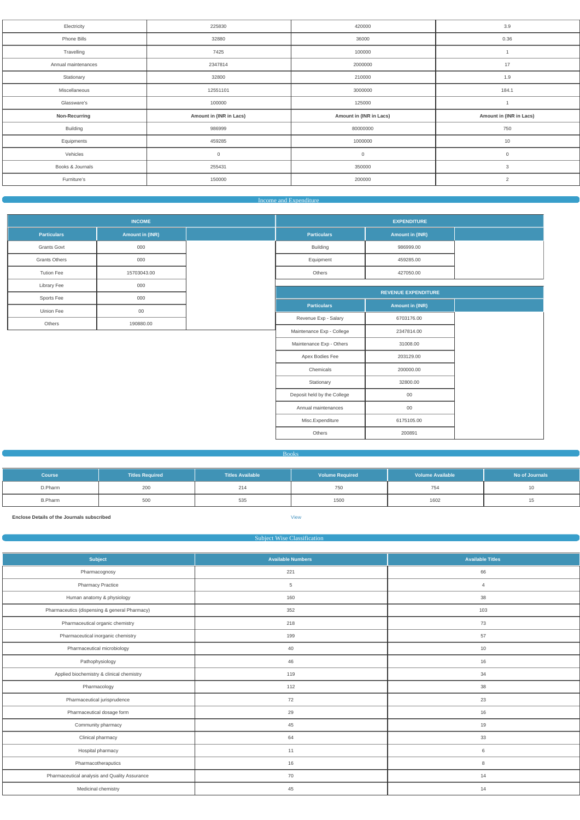| Electricity         | 225830                  | 420000                  | 3.9                     |
|---------------------|-------------------------|-------------------------|-------------------------|
| Phone Bills         | 32880                   | 36000                   | 0.36                    |
| Travelling          | 7425                    | 100000                  |                         |
| Annual maintenances | 2347814                 | 2000000                 | 17                      |
| Stationary          | 32800                   | 210000                  | 1.9                     |
| Miscellaneous       | 12551101                | 3000000                 | 184.1                   |
| Glassware's         | 100000                  | 125000                  |                         |
| Non-Recurring       | Amount in (INR in Lacs) | Amount in (INR in Lacs) | Amount in (INR in Lacs) |
| <b>Building</b>     | 986999                  | 80000000                | 750                     |
| Equipments          | 459285                  | 1000000                 | 10                      |
| Vehicles            | $\mathbf 0$             | $\mathbf 0$             | $\mathsf{O}$            |
|                     |                         |                         |                         |
| Books & Journals    | 255431                  | 350000                  | 3                       |
| Furniture's         | 150000                  | 200000                  | $\overline{2}$          |

### **Income and Expenditure Income and Expenditure**

|                      | <b>INCOME</b>          |                             | <b>EXPENDITURE</b>         |
|----------------------|------------------------|-----------------------------|----------------------------|
| <b>Particulars</b>   | <b>Amount in (INR)</b> | <b>Particulars</b>          | Amount in (INR)            |
| <b>Grants Govt</b>   | 000                    | Building                    | 986999.00                  |
| <b>Grants Others</b> | 000                    | Equipment                   | 459285.00                  |
| <b>Tution Fee</b>    | 15703043.00            | Others                      | 427050.00                  |
| Library Fee          | 000                    |                             |                            |
| Sports Fee           | 000                    |                             | <b>REVENUE EXPENDITURE</b> |
| Uinion Fee           | $00\,$                 | <b>Particulars</b>          | Amount in (INR)            |
| Others               | 190880.00              | Revenue Exp - Salary        | 6703176.00                 |
|                      |                        | Maintenance Exp - College   | 2347814.00                 |
|                      |                        | Maintenance Exp - Others    | 31008.00                   |
|                      |                        | Apex Bodies Fee             | 203129.00                  |
|                      |                        | Chemicals                   | 200000.00                  |
|                      |                        | Stationary                  | 32800.00                   |
|                      |                        | Deposit held by the College | $00\,$                     |
|                      |                        | Annual maintenances         | $00\,$                     |
|                      |                        | Misc.Expenditure            | 6175105.00                 |
|                      |                        | Others                      | 200891                     |

#### Books

| <b>Course</b>  | <b>Titles Required</b> | <b>Titles Available</b> | <b>Volume Required</b> | <b>Volume Available</b> | No of Journals |
|----------------|------------------------|-------------------------|------------------------|-------------------------|----------------|
| D.Pharm        | 200                    | 214                     | 750                    | 754                     |                |
| <b>B.Pharm</b> | 500                    | 535                     | 1500                   | 1602                    |                |

**Enclose Details of the Journals subscribed** [View](https://dgpm.nic.in/institute/getmongoPdfFile.do?renreceiptid=a70fef57-7e36-434d-b4af-63d409229045&tablename=bookjournal)

Subject Wise Classification

| <b>Subject</b>                                | <b>Available Numbers</b> | <b>Available Titles</b> |
|-----------------------------------------------|--------------------------|-------------------------|
| Pharmacognosy                                 | 221                      | 66                      |
| <b>Pharmacy Practice</b>                      | $\overline{5}$           | $\overline{4}$          |
| Human anatomy & physiology                    | 160                      | 38                      |
| Pharmaceutics (dispensing & general Pharmacy) | 352                      | 103                     |
| Pharmaceutical organic chemistry              | 218                      | 73                      |
| Pharmaceutical inorganic chemistry            | 199                      | 57                      |
| Pharmaceutical microbiology                   | 40                       | 10                      |
| Pathophysiology                               | 46                       | 16                      |
| Applied biochemistry & clinical chemistry     | 119                      | 34                      |
| Pharmacology                                  | 112                      | 38                      |
| Pharmaceutical jurisprudence                  | 72                       | 23                      |
| Pharmaceutical dosage form                    | 29                       | 16                      |
| Community pharmacy                            | 45                       | 19                      |
| Clinical pharmacy                             | 64                       | 33                      |
| Hospital pharmacy                             | 11                       | 6                       |
| Pharmacotheraputics                           | 16                       | 8                       |
| Pharmaceutical analysis and Quality Assurance | 70                       | 14                      |
| Medicinal chemistry                           | 45                       | 14                      |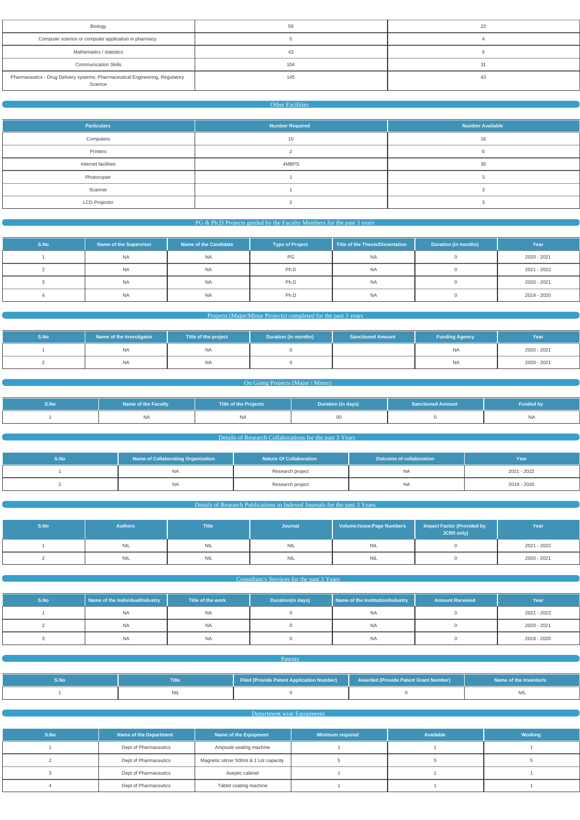| Biology                                                                                  | 59  | 23 |
|------------------------------------------------------------------------------------------|-----|----|
| Computer science or computer application in pharmacy                                     |     |    |
| Mathematics / statistics                                                                 | 43  |    |
| <b>Communication Skills</b>                                                              | 104 | 31 |
| Pharmaceutics - Drug Delivery systems, Pharmaceutical Engineering, Regulatory<br>Science | 145 | 43 |

#### Other Facilities

| <b>Particulars</b>   | <b>Number Required</b> | <b>Number Available</b> |
|----------------------|------------------------|-------------------------|
| Computers            | 10                     | 16                      |
| Printers             |                        |                         |
| Internet facilities  | 4MBPS                  | 30                      |
| Photocopier          |                        |                         |
| Scanner              |                        |                         |
| <b>LCD Projector</b> |                        |                         |

### **PG & Ph.D Projects guided by the Faculty Members for the past 3 years**  $P$

| S.No | Name of the Supervisor | Name of the Candidate | <b>Type of Project</b> | Title of the Thesis/Dissertation | <b>Duration (in months)</b> | Year        |
|------|------------------------|-----------------------|------------------------|----------------------------------|-----------------------------|-------------|
|      | <b>NA</b>              | <b>NA</b>             | PG                     | <b>NA</b>                        |                             | 2020 - 2021 |
|      | <b>NA</b>              | <b>NA</b>             | Ph.D                   | <b>NA</b>                        |                             | 2021 - 2022 |
|      | <b>NA</b>              | <b>NA</b>             | Ph.D                   | <b>NA</b>                        |                             | 2020 - 2021 |
|      | <b>NA</b>              | <b>NA</b>             | Ph.D                   | <b>NA</b>                        |                             | 2019 - 2020 |

### Projects (Major/Minor Projects) completed for the past 3 years

| S.No | Name of the Investigator | Title of the project | <b>Duration (in months)</b> | <b>Sanctioned Amount</b> | <b>Funding Agency</b> | Year        |
|------|--------------------------|----------------------|-----------------------------|--------------------------|-----------------------|-------------|
|      | <b>NA</b>                | <b>NA</b>            |                             |                          | <b>NA</b>             | 2020 - 2021 |
|      | NA                       | <b>NA</b>            |                             |                          | <b>NA</b>             | 2020 - 2021 |

#### **On Going Projects (Major / Minor) Community On Going Projects (Major / Minor)**

| S.No | Name of the Faculty | <b>Title of the Projects</b> | Duration (in days) | <b>Sanctioned Amount</b> | <b>Funded by</b> |
|------|---------------------|------------------------------|--------------------|--------------------------|------------------|
|      | <b>NA</b>           | איו                          |                    |                          | N/I              |

## Details of Research Collaborations for the past 3 Years

| S.No | Name of Collaborating Organization | <b>Nature Of Collaboration</b> | Outcome of collaboration b | Year        |
|------|------------------------------------|--------------------------------|----------------------------|-------------|
|      | NA                                 | Research project               | NA                         | 2021 - 2022 |
|      | <b>NA</b>                          | Research project               | NA                         | 2019 - 2020 |

#### Details of Research Publications in Indexed Journals for the past 3 Years

| S.No | <b>Authors</b> | <b>Title</b> | Journal    | <b>Volume:Issue;Page Numbers</b> | <b>Impact Factor (Provided by</b><br>JCRfi only) | Year        |
|------|----------------|--------------|------------|----------------------------------|--------------------------------------------------|-------------|
|      | <b>NIL</b>     | <b>NIL</b>   | <b>NIL</b> | NIL                              |                                                  | 2021 - 2022 |
|      | <b>NIL</b>     | <b>NIL</b>   | <b>NIL</b> | <b>NIL</b>                       |                                                  | 2020 - 2021 |

#### **Consultancy Services for the past 3 Years**

| S.No | Name of the Individual/Industry | Title of the work | Duration(in days) | Name of the Institution/Industry | <b>Amount Received</b> | Yeal        |
|------|---------------------------------|-------------------|-------------------|----------------------------------|------------------------|-------------|
|      | NA.                             |                   |                   | <b>NA</b>                        |                        | 2021 - 2022 |

| INA            | INA | <b>AIA</b><br>1 W Z | 2020 - 2021 |
|----------------|-----|---------------------|-------------|
| N <sub>H</sub> | INA |                     | 2019 - 2020 |

#### Patents

| Title | Filed (Provide Patent Application Number) | <b>Awarded (Provide Patent Grant Number)</b> | Name of the Inventor/s |
|-------|-------------------------------------------|----------------------------------------------|------------------------|
|       |                                           |                                              |                        |

Department wise Equipments

| S.No | Name of the Department | Name of the Equipment                    | <b>Minimum required</b> | <b>Available</b> | Working |
|------|------------------------|------------------------------------------|-------------------------|------------------|---------|
|      | Dept of Pharmaceutics  | Ampoule sealing machine                  |                         |                  |         |
|      | Dept of Pharmaceutics  | Magnetic stirrer 500ml & 1 Litr capacity |                         |                  |         |
|      | Dept of Pharmaceutics  | Aseptic cabinet                          |                         |                  |         |
|      | Dept of Pharmaceutics  | Tablet coating machine                   |                         |                  |         |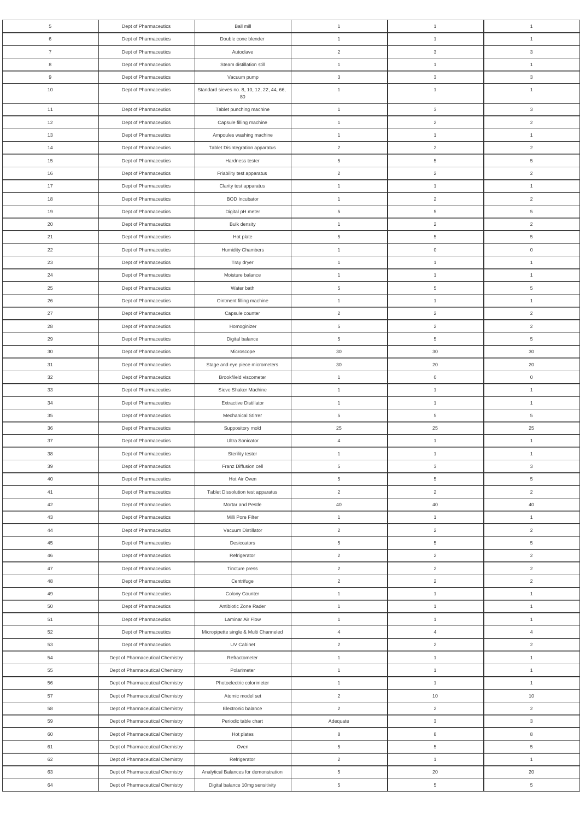| 5              | Dept of Pharmaceutics            | <b>Ball mill</b>                           | $\mathbf{1}$   | $\mathbf{1}$        | $\mathbf{1}$        |
|----------------|----------------------------------|--------------------------------------------|----------------|---------------------|---------------------|
| 6              | Dept of Pharmaceutics            | Double cone blender                        | $\mathbf{1}$   | $\mathbf{1}$        | $\mathbf{1}$        |
| $\overline{7}$ | Dept of Pharmaceutics            | Autoclave                                  | $\overline{2}$ | $\mathbf{3}$        | $\mathbf{3}$        |
| 8              | Dept of Pharmaceutics            | Steam distillation still                   | $\mathbf{1}$   | $\mathbf{1}$        | $\mathbf{1}$        |
| 9              | Dept of Pharmaceutics            | Vacuum pump                                | 3              | $\mathbf{3}$        | $\mathbf{3}$        |
| $10$           | Dept of Pharmaceutics            | Standard sieves no. 8, 10, 12, 22, 44, 66, | $\mathbf{1}$   | $\mathbf{1}$        | $\mathbf{1}$        |
|                |                                  | 80                                         |                |                     |                     |
| 11             | Dept of Pharmaceutics            | Tablet punching machine                    | $\mathbf{1}$   | $\mathbf{3}$        | $\mathbf{3}$        |
| 12             | Dept of Pharmaceutics            | Capsule filling machine                    | $\mathbf{1}$   | $\overline{2}$      | $\overline{2}$      |
| 13             | Dept of Pharmaceutics            | Ampoules washing machine                   | $\mathbf{1}$   | $\mathbf{1}$        | $\mathbf{1}$        |
| 14             | Dept of Pharmaceutics            | Tablet Disintegration apparatus            | $\overline{2}$ | $\overline{2}$      | $\overline{2}$      |
| 15             | Dept of Pharmaceutics            | Hardness tester                            | $\overline{5}$ | $5\phantom{.0}$     | $\overline{5}$      |
| 16             | Dept of Pharmaceutics            | Friability test apparatus                  | $\overline{2}$ | $\overline{2}$      | $\overline{2}$      |
| 17             | Dept of Pharmaceutics            | Clarity test apparatus                     | $\mathbf{1}$   | $\mathbf{1}$        | $\overline{1}$      |
| 18             | Dept of Pharmaceutics            | <b>BOD</b> Incubator                       | $\mathbf{1}$   | $\overline{2}$      | $\overline{2}$      |
| 19             | Dept of Pharmaceutics            | Digital pH meter                           | $\overline{5}$ | $\overline{5}$      | $\overline{5}$      |
| 20             | Dept of Pharmaceutics            | <b>Bulk density</b>                        | $\mathbf{1}$   | $\overline{2}$      | $\overline{2}$      |
| 21             | Dept of Pharmaceutics            | Hot plate                                  | $\overline{5}$ | $\overline{5}$      | $\overline{5}$      |
| 22             | Dept of Pharmaceutics            | <b>Humidity Chambers</b>                   | $\mathbf{1}$   | $\mathsf{O}\xspace$ | $\mathsf 0$         |
| 23             | Dept of Pharmaceutics            | Tray dryer                                 | $\mathbf{1}$   | $\mathbf{1}$        | $\mathbf{1}$        |
| 24             | Dept of Pharmaceutics            | Moisture balance                           | $\mathbf{1}$   | $\mathbf{1}$        | $\mathbf{1}$        |
| 25             | Dept of Pharmaceutics            | Water bath                                 | $\,$ 5 $\,$    | $\,$ 5 $\,$         | $\,$ 5 $\,$         |
| 26             | Dept of Pharmaceutics            | Ointment filling machine                   | $\mathbf{1}$   | $\mathbf{1}$        | $\mathbf{1}$        |
| 27             | Dept of Pharmaceutics            | Capsule counter                            | $\overline{2}$ | $\overline{2}$      | $\overline{2}$      |
| 28             | Dept of Pharmaceutics            | Homoginizer                                | 5              | $\overline{2}$      | 2                   |
| 29             | Dept of Pharmaceutics            | Digital balance                            | $\,$ 5 $\,$    | $\overline{5}$      | $\,$ 5 $\,$         |
| 30             | Dept of Pharmaceutics            | Microscope                                 | 30             | 30                  | 30                  |
| 31             | Dept of Pharmaceutics            | Stage and eye piece micrometers            | 30             | 20                  | 20                  |
| 32             | Dept of Pharmaceutics            | Brookfileld viscometer                     | $\mathbf{1}$   | $\mathsf{O}\xspace$ | $\mathsf{O}\xspace$ |
| 33             | Dept of Pharmaceutics            | Sieve Shaker Machine                       | $\mathbf{1}$   | $\mathbf{1}$        | $\mathbf{1}$        |
| 34             | Dept of Pharmaceutics            | <b>Extractive Distillator</b>              | $\mathbf{1}$   | $\mathbf{1}$        | $\mathbf{1}$        |
| 35             | Dept of Pharmaceutics            | Mechanical Stirrer                         | $\,$ 5 $\,$    | $\,$ 5 $\,$         | $\,$ 5 $\,$         |
| 36             | Dept of Pharmaceutics            | Suppository mold                           | 25             | 25                  | 25                  |
| 37             | Dept of Pharmaceutics            | Ultra Sonicator                            | $\overline{4}$ | $\mathbf{1}$        | $\mathbf{1}$        |
| 38             | Dept of Pharmaceutics            | Sterility tester                           | $\mathbf{1}$   | $\mathbf{1}$        | $\mathbf{1}$        |
| 39             | Dept of Pharmaceutics            | Franz Diffusion cell                       | $\overline{5}$ | $\mathbf{3}$        | $\mathbf{3}$        |
| 40             | Dept of Pharmaceutics            | Hot Air Oven                               | $\,$ 5 $\,$    | $5\overline{)}$     | $\,$ 5 $\,$         |
| 41             | Dept of Pharmaceutics            | Tablet Dissolution test apparatus          | $\overline{2}$ | $\overline{2}$      | $\overline{2}$      |
| 42             | Dept of Pharmaceutics            | Mortar and Pestle                          | 40             | 40                  | 40                  |
| 43             | Dept of Pharmaceutics            | Milli Pore Filter                          | $\mathbf{1}$   | $\mathbf{1}$        | $\mathbf{1}$        |
| 44             | Dept of Pharmaceutics            | Vacuum Distillator                         | $\overline{2}$ | $\overline{2}$      | $\overline{2}$      |
| 45             | Dept of Pharmaceutics            | Desiccators                                | $\overline{5}$ | $\overline{5}$      | $\overline{5}$      |
| 46             | Dept of Pharmaceutics            | Refrigerator                               | $\sqrt{2}$     | $\overline{2}$      | $\overline{2}$      |
| 47             | Dept of Pharmaceutics            | Tincture press                             | $\overline{2}$ | $\overline{2}$      | $\overline{2}$      |
| $48\,$         | Dept of Pharmaceutics            | Centrifuge                                 | $\sqrt{2}$     | $\overline{2}$      | $\sqrt{2}$          |
| 49             | Dept of Pharmaceutics            | Colony Counter                             | $\mathbf{1}$   | $\mathbf{1}$        | $\mathbf{1}$        |
| 50             | Dept of Pharmaceutics            | Antibiotic Zone Rader                      | $\mathbf{1}$   | $\mathbf{1}$        | $\mathbf{1}$        |
| 51             | Dept of Pharmaceutics            | Laminar Air Flow                           | $\mathbf{1}$   | $\mathbf{1}$        | $\mathbf{1}$        |
| $52\,$         | Dept of Pharmaceutics            | Micropipette single & Multi Channeled      | $\overline{4}$ | $\overline{4}$      | $\overline{4}$      |
| 53             | Dept of Pharmaceutics            | UV Cabinet                                 | 2              | $\overline{2}$      | 2                   |
| 54             | Dept of Pharmaceutical Chemistry | Refractometer                              | $\mathbf{1}$   | $\mathbf{1}$        | $\mathbf{1}$        |
| 55             | Dept of Pharmaceutical Chemistry | Polarimeter                                | $\mathbf{1}$   | $\mathbf{1}$        | $\mathbf{1}$        |
| 56             | Dept of Pharmaceutical Chemistry | Photoelectric colorimeter                  | $\mathbf{1}$   | $\mathbf{1}$        | $\mathbf{1}$        |
| 57             | Dept of Pharmaceutical Chemistry | Atomic model set                           | $\overline{2}$ | 10                  | 10                  |
| 58             | Dept of Pharmaceutical Chemistry | Electronic balance                         | $\sqrt{2}$     | $\overline{2}$      | $\sqrt{2}$          |
| 59             | Dept of Pharmaceutical Chemistry | Periodic table chart                       | Adequate       | $\mathsf 3$         | $\mathbf{3}$        |
| 60             | Dept of Pharmaceutical Chemistry | Hot plates                                 | $\,8\,$        | $\,8\,$             | 8                   |
|                | Dept of Pharmaceutical Chemistry | Oven                                       |                |                     |                     |
| 61             |                                  |                                            | $\overline{5}$ | $5\overline{)}$     | $\,$ 5 $\,$         |
| 62             | Dept of Pharmaceutical Chemistry | Refrigerator                               | $\overline{2}$ | $\mathbf{1}$        | $\mathbf{1}$        |
| 63             | Dept of Pharmaceutical Chemistry | Analytical Balances for demonstration      | $\overline{5}$ | 20                  | 20                  |
| 64             | Dept of Pharmaceutical Chemistry | Digital balance 10mg sensitivity           | $\,$ 5 $\,$    | $\,$ 5 $\,$         | $\,$ 5 $\,$         |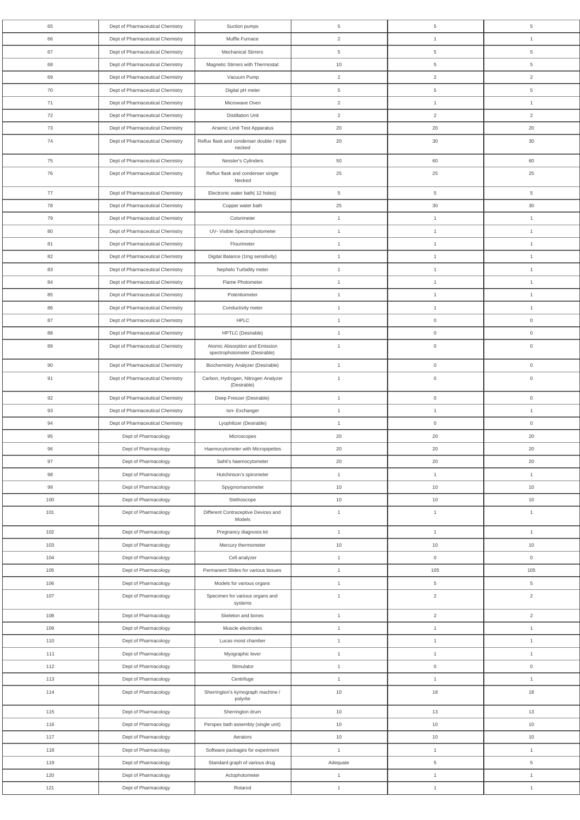| 65    | Dept of Pharmaceutical Chemistry | Suction pumps                                                   | 5              | 5                   | 5                   |
|-------|----------------------------------|-----------------------------------------------------------------|----------------|---------------------|---------------------|
| 66    | Dept of Pharmaceutical Chemistry | Muffle Furnace                                                  | $\overline{2}$ | $\mathbf{1}$        | $\mathbf{1}$        |
| 67    | Dept of Pharmaceutical Chemistry | <b>Mechanical Stirrers</b>                                      | 5              | 5                   | 5                   |
| 68    | Dept of Pharmaceutical Chemistry | Magnetic Stirrers with Thermostat                               | 10             | $\overline{5}$      | 5                   |
| 69    | Dept of Pharmaceutical Chemistry | Vacuum Pump                                                     | $\overline{2}$ | $\overline{2}$      | $\overline{2}$      |
| 70    | Dept of Pharmaceutical Chemistry | Digital pH meter                                                | $\overline{5}$ | $\,$ 5 $\,$         | 5                   |
| 71    | Dept of Pharmaceutical Chemistry | Microwave Oven                                                  | $\overline{2}$ | $\mathbf{1}$        | $\mathbf{1}$        |
| 72    | Dept of Pharmaceutical Chemistry | <b>Distillation Unit</b>                                        | $\overline{2}$ | $\overline{2}$      | $\overline{2}$      |
| 73    | Dept of Pharmaceutical Chemistry | Arsenic Limit Test Apparatus                                    | 20             | 20                  | 20                  |
| 74    |                                  | Reflux flask and condenser double / triple                      | 20             | 30                  | 30                  |
|       | Dept of Pharmaceutical Chemistry | necked                                                          |                |                     |                     |
| 75    | Dept of Pharmaceutical Chemistry | Nessler's Cylinders                                             | 50             | 60                  | 60                  |
| 76    | Dept of Pharmaceutical Chemistry | Reflux flask and condenser single                               | 25             | 25                  | 25                  |
|       |                                  | Necked                                                          |                |                     |                     |
| 77    | Dept of Pharmaceutical Chemistry | Electronic water bath(12 holes)                                 | 5              | 5                   | 5                   |
| 78    | Dept of Pharmaceutical Chemistry | Copper water bath                                               | 25             | 30                  | 30                  |
| 79    | Dept of Pharmaceutical Chemistry | Colorimeter                                                     | $\mathbf{1}$   | $\mathbf{1}$        | $\mathbf{1}$        |
| 80    | Dept of Pharmaceutical Chemistry | UV- Visible Spectrophotometer                                   | $\mathbf{1}$   | $\mathbf{1}$        | $\mathbf{1}$        |
| 81    | Dept of Pharmaceutical Chemistry | Flourimeter                                                     | $\mathbf{1}$   | $\mathbf{1}$        | $\mathbf{1}$        |
| 82    | Dept of Pharmaceutical Chemistry | Digital Balance (1mg sensitivity)                               | $\mathbf{1}$   | $\mathbf{1}$        | $\mathbf{1}$        |
| 83    | Dept of Pharmaceutical Chemistry | Nephelo Turbidity meter                                         | $\mathbf{1}$   | $\mathbf{1}$        | $\mathbf{1}$        |
| 84    | Dept of Pharmaceutical Chemistry | Flame Photometer                                                | $\mathbf{1}$   | $\mathbf{1}$        | $\mathbf{1}$        |
| 85    | Dept of Pharmaceutical Chemistry | Potentiometer                                                   | $\mathbf{1}$   | $\mathbf{1}$        | $\mathbf{1}$        |
| 86    | Dept of Pharmaceutical Chemistry | Conductivity meter                                              | $\mathbf{1}$   | $\mathbf{1}$        | $\mathbf{1}$        |
| 87    | Dept of Pharmaceutical Chemistry | HPLC                                                            | $\mathbf{1}$   | $\mathbf 0$         | $\mathbf 0$         |
| 88    | Dept of Pharmaceutical Chemistry | HPTLC (Desirable)                                               | $\mathbf{1}$   | $\mathsf{O}\xspace$ | $\mathsf{O}\xspace$ |
| 89    | Dept of Pharmaceutical Chemistry | Atomic Absorption and Emission<br>spectrophotometer (Desirable) | $\overline{1}$ | $\mathsf{O}\xspace$ | $\mathbf 0$         |
| 90    | Dept of Pharmaceutical Chemistry | Biochemistry Analyzer (Desirable)                               | $\mathbf{1}$   | $\mathsf{O}\xspace$ | $\mathsf{O}\xspace$ |
| 91    | Dept of Pharmaceutical Chemistry | Carbon, Hydrogen, Nitrogen Analyzer<br>(Desirable)              | $\overline{1}$ | $\mathsf{O}\xspace$ | $\mathbf 0$         |
| 92    | Dept of Pharmaceutical Chemistry | Deep Freezer (Desirable)                                        | $\mathbf{1}$   | $\mathsf{O}\xspace$ | $\mathsf{O}\xspace$ |
| 93    | Dept of Pharmaceutical Chemistry | Ion-Exchanger                                                   | $\mathbf{1}$   | $\mathbf{1}$        | $\mathbf{1}$        |
| 94    | Dept of Pharmaceutical Chemistry | Lyophilizer (Desirable)                                         | $\mathbf{1}$   | $\mathsf{O}\xspace$ | $\mathsf{O}\xspace$ |
| 95    | Dept of Pharmacology             | Microscopes                                                     | 20             | 20                  | 20                  |
| 96    | Dept of Pharmacology             | Haemocytometer with Micropipettes                               | 20             | 20                  | 20                  |
| 97    | Dept of Pharmacology             | Sahli's haemocytometer                                          | 20             | 20                  | 20                  |
| 98    | Dept of Pharmacology             | Hutchinson's spirometer                                         | $\mathbf{1}$   | $\mathbf{1}$        | $\mathbf{1}$        |
| 99    | Dept of Pharmacology             | Spygmomanometer                                                 | 10             | 10                  | 10                  |
| 100   |                                  |                                                                 | $10$           | 10                  | $10$                |
|       | Dept of Pharmacology             | Stethoscope                                                     |                |                     |                     |
| 101   | Dept of Pharmacology             | Different Contraceptive Devices and<br>Models                   | $\mathbf{1}$   | $\mathbf{1}$        | $\mathbf{1}$        |
| 102   | Dept of Pharmacology             | Pregnancy diagnosis kit                                         | $\mathbf{1}$   | $\mathbf{1}$        | $\mathbf{1}$        |
| 103   | Dept of Pharmacology             | Mercury thermometer                                             | 10             | 10                  | 10                  |
| 104   | Dept of Pharmacology             | Cell analyzer                                                   | $\mathbf{1}$   | $\mathsf{O}\xspace$ | $\mathsf{O}\xspace$ |
| 105   | Dept of Pharmacology             | Permanent Slides for various tissues                            | $\mathbf{1}$   | 105                 | 105                 |
| 106   | Dept of Pharmacology             | Models for various organs                                       | $\mathbf{1}$   | 5                   | 5                   |
| 107   | Dept of Pharmacology             | Specimen for various organs and<br>systems                      | $\mathbf{1}$   | $\overline{2}$      | $\overline{2}$      |
| 108   | Dept of Pharmacology             | Skeleton and bones                                              | $\mathbf{1}$   | $\overline{2}$      | $\overline{2}$      |
| 109   | Dept of Pharmacology             | Muscle electrodes                                               | $\mathbf{1}$   | $\mathbf{1}$        | $\mathbf{1}$        |
| 110   | Dept of Pharmacology             | Lucas moist chamber                                             | $\mathbf{1}$   | $\mathbf{1}$        | $\mathbf{1}$        |
| 111   | Dept of Pharmacology             | Myographic lever                                                | $\mathbf{1}$   | $\mathbf{1}$        | $\mathbf{1}$        |
| 112   | Dept of Pharmacology             | Stimulator                                                      | $\mathbf{1}$   | $\boldsymbol{0}$    | $\mathsf{O}\xspace$ |
| 113   | Dept of Pharmacology             | Centrifuge                                                      | $\mathbf{1}$   | $\mathbf{1}$        | $\mathbf{1}$        |
| 114   | Dept of Pharmacology             | Sherrington's kymograph machine /<br>polyrite                   | $10$           | $18\,$              | 18                  |
| 115   | Dept of Pharmacology             | Sherrington drum                                                | 10             | 13                  | 13                  |
| 116   | Dept of Pharmacology             | Perspex bath assembly (single unit)                             | 10             | 10                  | 10                  |
| 117   | Dept of Pharmacology             | Aerators                                                        | 10             | $10$                | 10                  |
| 118   | Dept of Pharmacology             | Software packages for experiment                                | $\mathbf{1}$   | $\mathbf{1}$        | $\mathbf{1}$        |
| 119   | Dept of Pharmacology             | Standard graph of various drug                                  | Adequate       | $5\phantom{.0}$     | 5                   |
| 120   | Dept of Pharmacology             | Actophotometer                                                  | $\mathbf{1}$   | $\mathbf{1}$        | $\mathbf{1}$        |
| $121$ | Dept of Pharmacology             | Rotarod                                                         | $\mathbf{1}$   | $\mathbf{1}$        | $\mathbf{1}$        |
|       |                                  |                                                                 |                |                     |                     |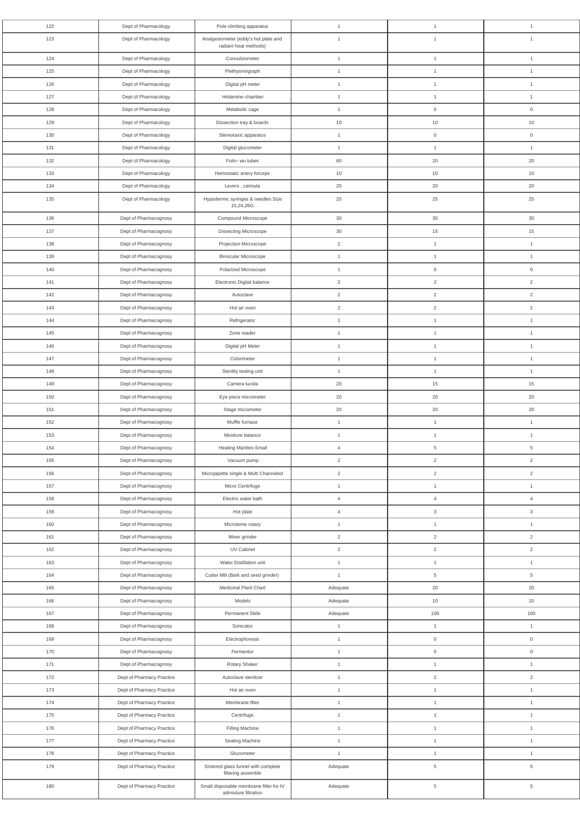| 122        | Dept of Pharmacology                           | Pole climbing apparatus                                         | $\mathbf{1}$                   | $\overline{1}$                 | $\mathbf{1}$                   |
|------------|------------------------------------------------|-----------------------------------------------------------------|--------------------------------|--------------------------------|--------------------------------|
| 123        | Dept of Pharmacology                           | Analgesiometer (eddy's hot plate and<br>radiant heat methods)   | $\mathbf{1}$                   | $\overline{1}$                 | $\overline{1}$                 |
| 124        | Dept of Pharmacology                           | Convulsiometer                                                  | $\mathbf{1}$                   | $\mathbf{1}$                   | $\mathbf{1}$                   |
| 125        | Dept of Pharmacology                           | Plethysmograph                                                  | $\mathbf{1}$                   | $\mathbf{1}$                   | $\overline{1}$                 |
| 126        | Dept of Pharmacology                           | Digital pH meter                                                | $\mathbf{1}$                   | $\mathbf{1}$                   | $\overline{1}$                 |
| 127        | Dept of Pharmacology                           | Histamine chamber                                               | $\mathbf{1}$                   | $\mathbf{1}$                   | $\overline{1}$                 |
| 128        | Dept of Pharmacology                           | Metabolic cage                                                  | $\mathbf{1}$                   | $\overline{0}$                 | $\overline{0}$                 |
| 129        | Dept of Pharmacology                           | Dissection tray & boards                                        | 10                             | 10                             | 10                             |
| 130        | Dept of Pharmacology                           | Stereotaxic apparatus                                           | $\mathbf{1}$                   | $\mathsf{O}\xspace$            | $\mathsf 0$                    |
| 131        | Dept of Pharmacology                           | Digital glucometer                                              | $\mathbf{1}$                   | $\mathbf{1}$                   | $\mathbf{1}$                   |
| 132        | Dept of Pharmacology                           | Folin- wu tubes                                                 | 60                             | 20                             | 20                             |
| 133        | Dept of Pharmacology                           | Hemostatic artery forceps                                       | 10                             | 10                             | 10                             |
| 134        | Dept of Pharmacology                           | Levers, cannula                                                 | 20                             | 20                             | 20                             |
| 135        | Dept of Pharmacology                           | Hypodermic syringes & needles Size<br>15,24,26G                 | 20                             | 25                             | 25                             |
| 136        | Dept of Pharmacognosy                          | Compound Microscope                                             | $30\,$                         | 30                             | 30                             |
| 137        | Dept of Pharmacognosy                          | <b>Dissecting Microscope</b>                                    | $30\,$                         | 15                             | 15                             |
| 138        | Dept of Pharmacognosy                          | Projection Microscope                                           | $\overline{2}$                 | $\mathbf{1}$                   | $\mathbf{1}$                   |
| 139        | Dept of Pharmacognosy                          | <b>Binocular Microscope</b>                                     | $\mathbf{1}$                   | $\mathbf{1}$                   | $\mathbf{1}$                   |
| 140        | Dept of Pharmacognosy                          | Polarized Microscope                                            | $\mathbf{1}$                   | $\mathsf{O}\xspace$            | $\mathsf 0$                    |
| 141        | Dept of Pharmacognosy                          | Electronic Digital balance                                      | $\overline{2}$                 | $\overline{2}$                 | $\overline{2}$                 |
| 142        | Dept of Pharmacognosy                          | Autoclave                                                       | $\overline{2}$                 | $\overline{2}$                 | $\overline{2}$                 |
| 143        | Dept of Pharmacognosy                          | Hot air oven                                                    | 2                              | $\overline{2}$                 | 2                              |
| 144        | Dept of Pharmacognosy                          | Refrigerator                                                    | $\mathbf{1}$                   | $\mathbf{1}$                   | $\mathbf{1}$                   |
| 145        | Dept of Pharmacognosy                          | Zone reader                                                     | $\mathbf{1}$                   | $\mathbf{1}$                   | $\mathbf{1}$                   |
| 146        | Dept of Pharmacognosy                          | Digital pH Meter                                                | $\mathbf{1}$                   | $\mathbf{1}$                   | $\mathbf{1}$                   |
| 147        | Dept of Pharmacognosy                          | Colorimeter                                                     | $\mathbf{1}$                   | $\mathbf{1}$                   | $\mathbf{1}$                   |
| 148        | Dept of Pharmacognosy                          | Sterility testing unit                                          | $\mathbf{1}$                   | $\mathbf{1}$                   | $\mathbf{1}$                   |
| 149        | Dept of Pharmacognosy                          | Camera lucida                                                   | $20\,$                         | 15                             | 15                             |
| 150        | Dept of Pharmacognosy                          | Eye piece micrometer                                            | 20                             | 20                             | 20                             |
| 151        | Dept of Pharmacognosy                          | Stage micrometer                                                | 20                             | 20                             | 20                             |
| 152        | Dept of Pharmacognosy                          | Muffle furnace                                                  | $\mathbf{1}$                   | $\mathbf{1}$                   | $\mathbf{1}$                   |
| 153        | Dept of Pharmacognosy                          | Moisture balance                                                | $\mathbf{1}$                   | $\mathbf{1}$                   | $\mathbf{1}$                   |
| 154        | Dept of Pharmacognosy                          | <b>Heating Mantles-Small</b>                                    | $\overline{4}$                 | $\sqrt{5}$                     | $\,$ 5 $\,$                    |
| 155        | Dept of Pharmacognosy                          | Vacuum pump                                                     | $\overline{2}$                 | $\overline{2}$                 | $\overline{2}$                 |
| 156<br>157 | Dept of Pharmacognosy                          | Micropipette single & Multi Channeled                           | $\overline{2}$                 | $\overline{2}$                 | $\overline{2}$                 |
| 158        | Dept of Pharmacognosy                          | Micro Centrifuge<br>Electric water bath                         | $\mathbf{1}$<br>$\overline{4}$ | $\mathbf{1}$<br>$\overline{4}$ | $\mathbf{1}$<br>$\overline{4}$ |
| 159        | Dept of Pharmacognosy                          |                                                                 | $\overline{4}$                 |                                |                                |
| 160        | Dept of Pharmacognosy                          | Hot plate                                                       | $\mathbf{1}$                   | $\mathbf{3}$                   | $\mathbf{3}$<br>$\mathbf{1}$   |
| 161        | Dept of Pharmacognosy<br>Dept of Pharmacognosy | Microtome rotary<br>Mixer grinder                               | $\overline{2}$                 | $\mathbf{1}$<br>$\overline{2}$ | $\sqrt{2}$                     |
| 162        | Dept of Pharmacognosy                          | UV Cabinet                                                      | $\overline{2}$                 | $\overline{2}$                 | $\overline{2}$                 |
| 163        | Dept of Pharmacognosy                          | Water Distillation unit                                         | $\mathbf{1}$                   | $\mathbf{1}$                   | $\mathbf{1}$                   |
| 164        | Dept of Pharmacognosy                          | Cutter Mill (Bark and seed grinder)                             | $\mathbf{1}$                   | $\overline{5}$                 | $\,$ 5 $\,$                    |
| 165        | Dept of Pharmacognosy                          | Medicinal Plant Chart                                           | Adequate                       | $20\,$                         | 20                             |
| 166        | Dept of Pharmacognosy                          | Models                                                          | Adequate                       | 10                             | $10$                           |
| 167        | Dept of Pharmacognosy                          | Permanent Slide                                                 | Adequate                       | 100                            | 100                            |
| 168        | Dept of Pharmacognosy                          | Sonicator                                                       | $\mathbf{1}$                   | $\mathbf{1}$                   | $\mathbf{1}$                   |
| 169        | Dept of Pharmacognosy                          | Electrophoresis                                                 | $\mathbf{1}$                   | $\,0\,$                        | $\mathsf 0$                    |
| 170        | Dept of Pharmacognosy                          | Fermentor                                                       | $\mathbf{1}$                   | $\,0\,$                        | $\mathsf 0$                    |
| 171        | Dept of Pharmacognosy                          | Rotary Shaker                                                   | $\mathbf{1}$                   | $\mathbf{1}$                   | $\mathbf{1}$                   |
| 172        | Dept of Pharmacy Practice                      | Autoclave sterilizer                                            | $\mathbf{1}$                   | $\overline{2}$                 | $\sqrt{2}$                     |
| 173        | Dept of Pharmacy Practice                      | Hot air oven                                                    | $\mathbf{1}$                   | 1                              | $\mathbf{1}$                   |
| 174        | Dept of Pharmacy Practice                      | Membrane filter                                                 | $\mathbf{1}$                   | $\mathbf{1}$                   | $\mathbf{1}$                   |
| 175        | Dept of Pharmacy Practice                      | Centrifuge                                                      | $\mathbf{1}$                   | $\mathbf{1}$                   | $\mathbf{1}$                   |
| 176        | Dept of Pharmacy Practice                      | Filling Machine                                                 | $\mathbf{1}$                   | $\mathbf{1}$                   | $\mathbf{1}$                   |
| 177        | Dept of Pharmacy Practice                      | Sealing Machine                                                 | $\mathbf{1}$                   | $\mathbf{1}$                   | $\mathbf{1}$                   |
| 178        | Dept of Pharmacy Practice                      | Glucometer                                                      | $\mathbf{1}$                   | $\mathbf{1}$                   | $\mathbf{1}$                   |
| 179        | Dept of Pharmacy Practice                      | Sintered glass funnel with complete                             | Adequate                       | $\,$ 5 $\,$                    | $\,$ 5 $\,$                    |
|            |                                                | filtering assemble                                              |                                |                                |                                |
| 180        | Dept of Pharmacy Practice                      | Small disposable membrane filter for IV<br>admixture filtration | Adequate                       | $\,$ 5 $\,$                    | $\sqrt{5}$                     |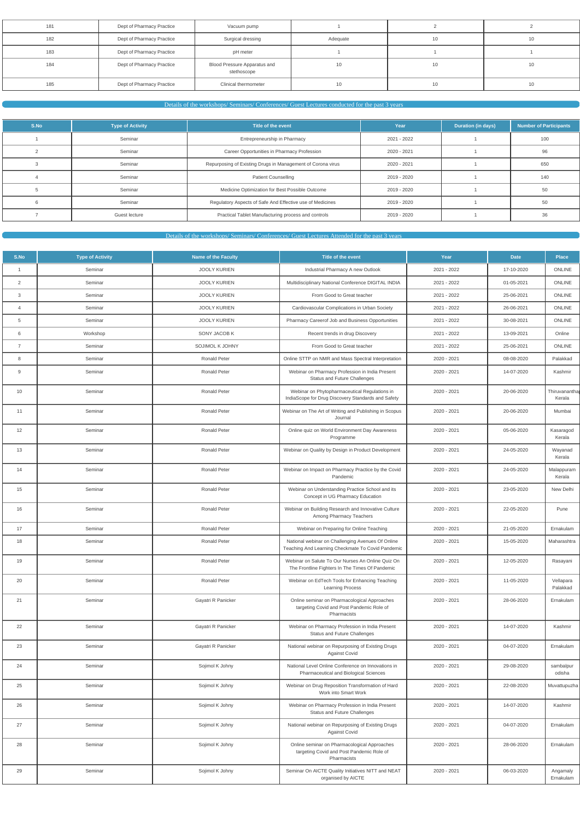| 181 | Dept of Pharmacy Practice | Vacuum pump                                 |          |    |    |
|-----|---------------------------|---------------------------------------------|----------|----|----|
| 182 | Dept of Pharmacy Practice | Surgical dressing                           | Adequate | 10 | 10 |
| 183 | Dept of Pharmacy Practice | pH meter                                    |          |    |    |
| 184 | Dept of Pharmacy Practice | Blood Pressure Apparatus and<br>stethoscope | 10       | 10 | 10 |
| 185 | Dept of Pharmacy Practice | Clinical thermometer                        | 10       | 10 | 10 |

Details of the workshops/ Seminars/ Conferences/ Guest Lectures conducted for the past 3 years

| S.No | <b>Type of Activity</b> | Title of the event                                          | Year        | <b>Duration (in days)</b> | <b>Number of Participants</b> |
|------|-------------------------|-------------------------------------------------------------|-------------|---------------------------|-------------------------------|
|      | Seminar                 | Entrepreneurship in Pharmacy                                | 2021 - 2022 |                           | 100                           |
|      | Seminar                 | Career Opportunities in Pharmacy Profession                 | 2020 - 2021 |                           | 96                            |
|      | Seminar                 | Repurposing of Existing Drugs in Management of Corona virus | 2020 - 2021 |                           | 650                           |
|      | Seminar                 | <b>Patient Counselling</b>                                  | 2019 - 2020 |                           | 140                           |
|      | Seminar                 | Medicine Optimization for Best Possible Outcome             | 2019 - 2020 |                           | 50                            |
|      | Seminar                 | Regulatory Aspects of Safe And Effective use of Medicines   | 2019 - 2020 |                           | 50                            |
|      | Guest lecture           | Practical Tablet Manufacturing process and controls         | 2019 - 2020 |                           | 36                            |

Details of the workshops/ Seminars/ Conferences/ Guest Lectures Attended for the past 3 years

| S.No           | <b>Type of Activity</b> | <b>Name of the Faculty</b> | Title of the event                                                                                       | Year        | <b>Date</b> | Place                   |
|----------------|-------------------------|----------------------------|----------------------------------------------------------------------------------------------------------|-------------|-------------|-------------------------|
| $\overline{1}$ | Seminar                 | <b>JOOLY KURIEN</b>        | Industrial Pharmacy A new Outlook                                                                        | 2021 - 2022 | 17-10-2020  | ONLINE                  |
| $\overline{2}$ | Seminar                 | <b>JOOLY KURIEN</b>        | Multidisciplinary National Conference DIGITAL INDIA                                                      | 2021 - 2022 | 01-05-2021  | ONLINE                  |
| 3              | Seminar                 | <b>JOOLY KURIEN</b>        | From Good to Great teacher                                                                               | 2021 - 2022 | 25-06-2021  | ONLINE                  |
| $\overline{4}$ | Seminar                 | <b>JOOLY KURIEN</b>        | Cardiovascular Complications in Urban Society                                                            | 2021 - 2022 | 26-06-2021  | ONLINE                  |
| 5              | Seminar                 | <b>JOOLY KURIEN</b>        | Pharmacy Careerof Job and Business Opportunities                                                         | 2021 - 2022 | 30-08-2021  | ONLINE                  |
| 6              | Workshop                | SONY JACOB K               | Recent trends in drug Discovery                                                                          | 2021 - 2022 | 13-09-2021  | Online                  |
| $\overline{7}$ | Seminar                 | SOJIMOL K JOHNY            | From Good to Great teacher                                                                               | 2021 - 2022 | 25-06-2021  | ONLINE                  |
| 8              | Seminar                 | <b>Ronald Peter</b>        | Online STTP on NMR and Mass Spectral Interpretation                                                      | 2020 - 2021 | 08-08-2020  | Palakkad                |
| 9              | Seminar                 | <b>Ronald Peter</b>        | Webinar on Pharmacy Profession in India Present<br>Status and Future Challenges                          | 2020 - 2021 | 14-07-2020  | Kashmir                 |
| 10             | Seminar                 | <b>Ronald Peter</b>        | Webinar on Phytopharmaceutical Regulations in<br>IndiaScope for Drug Discovery Standards and Safety      | 2020 - 2021 | 20-06-2020  | Thiruvanantha<br>Kerala |
| 11             | Seminar                 | <b>Ronald Peter</b>        | Webinar on The Art of Writing and Publishing in Scopus<br>Journal                                        | 2020 - 2021 | 20-06-2020  | Mumbai                  |
| 12             | Seminar                 | <b>Ronald Peter</b>        | Online quiz on World Environment Day Awareness<br>Programme                                              | 2020 - 2021 | 05-06-2020  | Kasaragod<br>Kerala     |
| 13             | Seminar                 | <b>Ronald Peter</b>        | Webinar on Quality by Design in Product Development                                                      | 2020 - 2021 | 24-05-2020  | Wayanad<br>Kerala       |
| 14             | Seminar                 | <b>Ronald Peter</b>        | Webinar on Impact on Pharmacy Practice by the Covid<br>Pandemic                                          | 2020 - 2021 | 24-05-2020  | Malappuram<br>Kerala    |
| 15             | Seminar                 | <b>Ronald Peter</b>        | Webinar on Understanding Practice School and its<br>Concept in UG Pharmacy Education                     | 2020 - 2021 | 23-05-2020  | New Delhi               |
| 16             | Seminar                 | <b>Ronald Peter</b>        | Webinar on Building Research and Innovative Culture<br>Among Pharmacy Teachers                           | 2020 - 2021 | 22-05-2020  | Pune                    |
| 17             | Seminar                 | <b>Ronald Peter</b>        | Webinar on Preparing for Online Teaching                                                                 | 2020 - 2021 | 21-05-2020  | Ernakulam               |
| 18             | Seminar                 | <b>Ronald Peter</b>        | National webinar on Challenging Avenues Of Online<br>Teaching And Learning Checkmate To Covid Pandemic   | 2020 - 2021 | 15-05-2020  | Maharashtra             |
| 19             | Seminar                 | Ronald Peter               | Webinar on Salute To Our Nurses An Online Quiz On<br>The Frontline Fighters In The Times Of Pandemic     | 2020 - 2021 | 12-05-2020  | Rasayani                |
| 20             | Seminar                 | <b>Ronald Peter</b>        | Webinar on EdTech Tools for Enhancing Teaching<br><b>Learning Process</b>                                | 2020 - 2021 | 11-05-2020  | Vellapara<br>Palakkad   |
| 21             | Seminar                 | Gayatri R Panicker         | Online seminar on Pharmacological Approaches<br>targeting Covid and Post Pandemic Role of<br>Pharmacists | 2020 - 2021 | 28-06-2020  | Ernakulam               |
| 22             | Seminar                 | Gayatri R Panicker         | Webinar on Pharmacy Profession in India Present<br><b>Status and Future Challenges</b>                   | 2020 - 2021 | 14-07-2020  | Kashmir                 |
| 23             | Seminar                 | Gayatri R Panicker         | National webinar on Repurposing of Existing Drugs<br><b>Against Covid</b>                                | 2020 - 2021 | 04-07-2020  | Ernakulam               |
| 24             | Seminar                 | Sojimol K Johny            | National Level Online Conference on Innovations in<br>Pharmaceutical and Biological Sciences             | 2020 - 2021 | 29-08-2020  | sambalpur<br>odisha     |
| 25             | Seminar                 | Sojimol K Johny            | Webinar on Drug Reposition Transformation of Hard<br>Work into Smart Work                                | 2020 - 2021 | 22-08-2020  | Muvattupuzha            |
| 26             | Seminar                 | Sojimol K Johny            | Webinar on Pharmacy Profession in India Present<br>Status and Future Challenges                          | 2020 - 2021 | 14-07-2020  | Kashmir                 |
| 27             | Seminar                 | Sojimol K Johny            | National webinar on Repurposing of Existing Drugs<br><b>Against Covid</b>                                | 2020 - 2021 | 04-07-2020  | Ernakulam               |
| 28             | Seminar                 | Sojimol K Johny            | Online seminar on Pharmacological Approaches<br>targeting Covid and Post Pandemic Role of<br>Pharmacists | 2020 - 2021 | 28-06-2020  | Ernakulam               |
| 29             | Seminar                 | Sojimol K Johny            | Seminar On AICTE Quality Initiatives NITT and NEAT<br>organised by AICTE                                 | 2020 - 2021 | 06-03-2020  | Angamaly<br>Ernakulam   |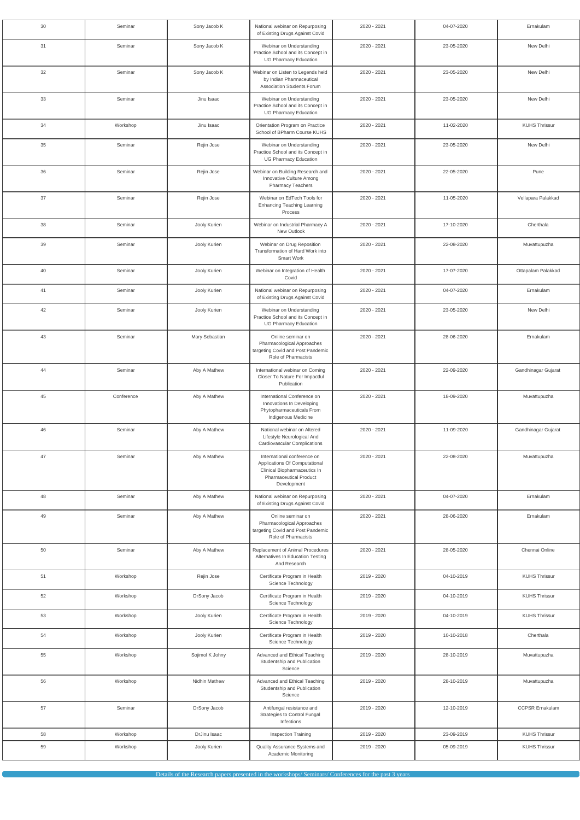| 30 | Seminar    | Sony Jacob K    | National webinar on Repurposing<br>of Existing Drugs Against Covid                                                                           | 2020 - 2021 | 04-07-2020 | Ernakulam              |
|----|------------|-----------------|----------------------------------------------------------------------------------------------------------------------------------------------|-------------|------------|------------------------|
| 31 | Seminar    | Sony Jacob K    | Webinar on Understanding<br>Practice School and its Concept in<br><b>UG Pharmacy Education</b>                                               | 2020 - 2021 | 23-05-2020 | New Delhi              |
| 32 | Seminar    | Sony Jacob K    | Webinar on Listen to Legends held<br>by Indian Pharmaceutical<br>Association Students Forum                                                  | 2020 - 2021 | 23-05-2020 | New Delhi              |
| 33 | Seminar    | Jinu Isaac      | Webinar on Understanding<br>Practice School and its Concept in<br><b>UG Pharmacy Education</b>                                               | 2020 - 2021 | 23-05-2020 | New Delhi              |
| 34 | Workshop   | Jinu Isaac      | Orientation Program on Practice<br>School of BPharm Course KUHS                                                                              | 2020 - 2021 | 11-02-2020 | <b>KUHS Thrissur</b>   |
| 35 | Seminar    | Rejin Jose      | Webinar on Understanding<br>Practice School and its Concept in<br><b>UG Pharmacy Education</b>                                               | 2020 - 2021 | 23-05-2020 | New Delhi              |
| 36 | Seminar    | Rejin Jose      | Webinar on Building Research and<br>Innovative Culture Among<br><b>Pharmacy Teachers</b>                                                     | 2020 - 2021 | 22-05-2020 | Pune                   |
| 37 | Seminar    | Rejin Jose      | Webinar on EdTech Tools for<br><b>Enhancing Teaching Learning</b><br>Process                                                                 | 2020 - 2021 | 11-05-2020 | Vellapara Palakkad     |
| 38 | Seminar    | Jooly Kurien    | Webinar on Industrial Pharmacy A<br>New Outlook                                                                                              | 2020 - 2021 | 17-10-2020 | Cherthala              |
| 39 | Seminar    | Jooly Kurien    | Webinar on Drug Reposition<br>Transformation of Hard Work into<br>Smart Work                                                                 | 2020 - 2021 | 22-08-2020 | Muvattupuzha           |
| 40 | Seminar    | Jooly Kurien    | Webinar on Integration of Health<br>Covid                                                                                                    | 2020 - 2021 | 17-07-2020 | Ottapalam Palakkad     |
| 41 | Seminar    | Jooly Kurien    | National webinar on Repurposing<br>of Existing Drugs Against Covid                                                                           | 2020 - 2021 | 04-07-2020 | Ernakulam              |
| 42 | Seminar    | Jooly Kurien    | Webinar on Understanding<br>Practice School and its Concept in<br>UG Pharmacy Education                                                      | 2020 - 2021 | 23-05-2020 | New Delhi              |
| 43 | Seminar    | Mary Sebastian  | Online seminar on<br>Pharmacological Approaches<br>targeting Covid and Post Pandemic<br>Role of Pharmacists                                  | 2020 - 2021 | 28-06-2020 | Ernakulam              |
| 44 | Seminar    | Aby A Mathew    | International webinar on Coming<br>Closer To Nature For Impactful<br>Publication                                                             | 2020 - 2021 | 22-09-2020 | Gandhinagar Gujarat    |
| 45 | Conference | Aby A Mathew    | International Conference on<br>Innovations In Developing<br>Phytopharmaceuticals From<br>Indigenous Medicine                                 | 2020 - 2021 | 18-09-2020 | Muvattupuzha           |
| 46 | Seminar    | Aby A Mathew    | National webinar on Altered<br>Lifestyle Neurological And<br>Cardiovascular Complications                                                    | 2020 - 2021 | 11-09-2020 | Gandhinagar Gujarat    |
| 47 | Seminar    | Aby A Mathew    | International conference on<br>Applications Of Computational<br>Clinical Biopharmaceutics In<br><b>Pharmaceutical Product</b><br>Development | 2020 - 2021 | 22-08-2020 | Muvattupuzha           |
| 48 | Seminar    | Aby A Mathew    | National webinar on Repurposing<br>of Existing Drugs Against Covid                                                                           | 2020 - 2021 | 04-07-2020 | Ernakulam              |
| 49 | Seminar    | Aby A Mathew    | Online seminar on<br>Pharmacological Approaches<br>targeting Covid and Post Pandemic<br>Role of Pharmacists                                  | 2020 - 2021 | 28-06-2020 | Ernakulam              |
| 50 | Seminar    | Aby A Mathew    | Replacement of Animal Procedures<br>Alternatives In Education Testing<br>And Research                                                        | 2020 - 2021 | 28-05-2020 | Chennai Online         |
| 51 | Workshop   | Rejin Jose      | Certificate Program in Health<br>Science Technology                                                                                          | 2019 - 2020 | 04-10-2019 | <b>KUHS Thrissur</b>   |
| 52 | Workshop   | DrSony Jacob    | Certificate Program in Health<br>Science Technology                                                                                          | 2019 - 2020 | 04-10-2019 | <b>KUHS Thrissur</b>   |
| 53 | Workshop   | Jooly Kurien    | Certificate Program in Health<br>Science Technology                                                                                          | 2019 - 2020 | 04-10-2019 | <b>KUHS Thrissur</b>   |
| 54 | Workshop   | Jooly Kurien    | Certificate Program in Health<br>Science Technology                                                                                          | 2019 - 2020 | 10-10-2018 | Cherthala              |
| 55 | Workshop   | Sojimol K Johny | Advanced and Ethical Teaching<br>Studentship and Publication<br>Science                                                                      | 2019 - 2020 | 28-10-2019 | Muvattupuzha           |
| 56 | Workshop   | Nidhin Mathew   | Advanced and Ethical Teaching<br>Studentship and Publication<br>Science                                                                      | 2019 - 2020 | 28-10-2019 | Muvattupuzha           |
| 57 | Seminar    | DrSony Jacob    | Antifungal resistance and<br>Strategies to Control Fungal<br>Infections                                                                      | 2019 - 2020 | 12-10-2019 | <b>CCPSR Ernakulam</b> |
| 58 | Workshop   | DrJinu Isaac    | Inspection Training                                                                                                                          | 2019 - 2020 | 23-09-2019 | <b>KUHS Thrissur</b>   |
| 59 | Workshop   | Jooly Kurien    | Quality Assurance Systems and<br>Academic Monitoring                                                                                         | 2019 - 2020 | 05-09-2019 | <b>KUHS Thrissur</b>   |

Details of the Research papers presented in the workshops/ Seminars/ Conferences for the past 3 years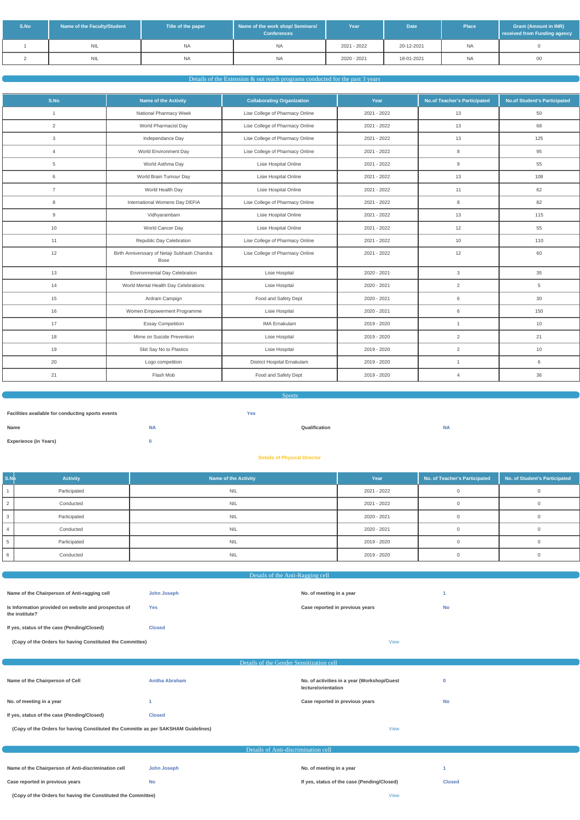| S.No | Name of the Faculty/Student | Title of the paper | Name of the work shop/ Seminars/<br><b>Conferences</b> | Year        | Date <sup>1</sup> | <b>Place</b> | <b>Grant (Amount in INR)</b><br>received from Funding agency |
|------|-----------------------------|--------------------|--------------------------------------------------------|-------------|-------------------|--------------|--------------------------------------------------------------|
|      | <b>NIL</b>                  | <b>NA</b>          | <b>NA</b>                                              | 2021 - 2022 | 20-12-2021        | <b>NA</b>    |                                                              |
|      | <b>NIL</b>                  | <b>NA</b>          | NA.                                                    | 2020 - 2021 | 18-01-2021        | NA           | 00                                                           |

### Details of the Extension & out reach programs conducted for the past 3 years

| S.No           | <b>Name of the Activity</b>                          | <b>Collaborating Organization</b> | Year        | <b>No.of Teacher's Participated</b> | <b>No.of Student's Participated</b> |
|----------------|------------------------------------------------------|-----------------------------------|-------------|-------------------------------------|-------------------------------------|
| $\overline{1}$ | National Pharmacy Week                               | Lise College of Pharmacy Online   | 2021 - 2022 | 13                                  | 50                                  |
| 2              | World Pharmacist Day                                 | Lise College of Pharmacy Online   | 2021 - 2022 | 13                                  | 68                                  |
| $\mathbf{3}$   | Independance Day                                     | Lise College of Pharmacy Online   | 2021 - 2022 | 13                                  | 125                                 |
| $\overline{4}$ | World Environment Day                                | Lise College of Pharmacy Online   | 2021 - 2022 | 8                                   | 95                                  |
| 5              | World Asthma Day                                     | Lisie Hospital Online             | 2021 - 2022 | 9                                   | 55                                  |
| 6              | World Brain Tumour Day                               | Lisie Hospital Online             | 2021 - 2022 | 13                                  | 108                                 |
| $\overline{7}$ | World Health Day                                     | Lisie Hospital Online             | 2021 - 2022 | 11                                  | 62                                  |
| 8              | International Womens Day DEFIA                       | Lise College of Pharmacy Online   | 2021 - 2022 | 8                                   | 82                                  |
| 9              | Vidhyarambam                                         | Lisie Hospital Online             | 2021 - 2022 | 13                                  | 115                                 |
| 10             | World Cancer Day                                     | Lisie Hospital Online             | 2021 - 2022 | 12                                  | 55                                  |
| 11             | Republic Day Celebration                             | Lise College of Pharmacy Online   | 2021 - 2022 | 10                                  | 110                                 |
| 12             | Birth Anniverssary of Netaji Subhash Chandra<br>Bose | Lise College of Pharmacy Online   | 2021 - 2022 | 12                                  | 60                                  |
| 13             | <b>Environmental Day Celebration</b>                 | Lisie Hospital                    | 2020 - 2021 | 3                                   | 35                                  |
| 14             | World Mental Health Day Celebrations                 | Lisie Hospital                    | 2020 - 2021 | $\overline{2}$                      | 5                                   |
| 15             | Ardram Campign                                       | Food and Safety Dept              | 2020 - 2021 | 6                                   | 30                                  |
| 16             | Women Empowerment Programme                          | <b>Lisie Hospital</b>             | 2020 - 2021 | 6                                   | 150                                 |
| 17             | <b>Essay Competition</b>                             | <b>IMA Ernakulam</b>              | 2019 - 2020 | $\mathbf{1}$                        | 10                                  |
| 18             | Mime on Suicide Prevention                           | Lisie Hospital                    | 2019 - 2020 | 2                                   | 21                                  |
| 19             | Skit Say No to Plastics                              | Lisie Hospital                    | 2019 - 2020 | 2                                   | 10                                  |
| 20             | Logo competition                                     | District Hospital Ernakulam       | 2019 - 2020 | $\mathbf{1}$                        | 6                                   |
| 21             | Flash Mob                                            | Food and Safety Dept              | 2019 - 2020 | $\overline{4}$                      | 36                                  |

Sports

| Facilities available for conducting sports events |           | <b>Yes</b> |               |           |
|---------------------------------------------------|-----------|------------|---------------|-----------|
| Name                                              | <b>NA</b> |            | Qualification | <b>NA</b> |
| <b>Experience (in Years)</b>                      |           |            |               |           |

### **Details of Physical Director**

| S.Nb | <b>Activity</b> | <b>Name of the Activity</b> | Year        | No. of Teacher's Participated | No. of Student's Participated |
|------|-----------------|-----------------------------|-------------|-------------------------------|-------------------------------|
|      | Participated    | <b>NIL</b>                  | 2021 - 2022 |                               |                               |
| 2    | Conducted       | <b>NIL</b>                  | 2021 - 2022 |                               |                               |
| 3    | Participated    | <b>NIL</b>                  | 2020 - 2021 |                               |                               |
|      | Conducted       | <b>NIL</b>                  | 2020 - 2021 |                               |                               |
|      | Participated    | <b>NIL</b>                  | 2019 - 2020 |                               |                               |
| 6    | Conducted       | <b>NIL</b>                  | 2019 - 2020 |                               |                               |

| Details of the Anti-Ragging cell |  |  |  |  |
|----------------------------------|--|--|--|--|
|----------------------------------|--|--|--|--|

**Name of the Chairperson of Anti-ragging cell John Joseph No. of meeting in a year No. of meeting in a year 1** 

ſ

| If yes, status of the case (Pending/Closed) |  |
|---------------------------------------------|--|
|---------------------------------------------|--|

**Yes Case reported in previous years No**

**If yes, status of the case (Pending/Closed) Closed**

**(Copy of the Orders for having Constituted the Committee)** [View](https://dgpm.nic.in/institute/getmongoPdfFile.do?renreceiptid=a1af35f9-c5f7-4b68-a5be-7f1b8195f5c3&tablename=antiragging)

| Details of the Gender Sensitization cell                                           |                       |                                                                    |           |  |
|------------------------------------------------------------------------------------|-----------------------|--------------------------------------------------------------------|-----------|--|
|                                                                                    |                       |                                                                    |           |  |
| Name of the Chairperson of Cell                                                    | <b>Anitha Abraham</b> | No. of activities in a year (Workshop/Guest<br>lecture/orientation |           |  |
| No. of meeting in a year                                                           |                       | Case reported in previous years                                    | <b>No</b> |  |
| If yes, status of the case (Pending/Closed)                                        | <b>Closed</b>         |                                                                    |           |  |
| (Copy of the Orders for having Constituted the Committe as per SAKSHAM Guidelines) |                       | <b>View</b>                                                        |           |  |

| Details of Anti-discrimination cell                           |             |                                             |               |  |
|---------------------------------------------------------------|-------------|---------------------------------------------|---------------|--|
| Name of the Chairperson of Anti-discrimination cell           | John Joseph | No. of meeting in a year                    |               |  |
| Case reported in previous years                               | <b>No</b>   | If yes, status of the case (Pending/Closed) | <b>Closed</b> |  |
| (Copy of the Orders for having the Constituted the Committee) |             | <b>View</b>                                 |               |  |